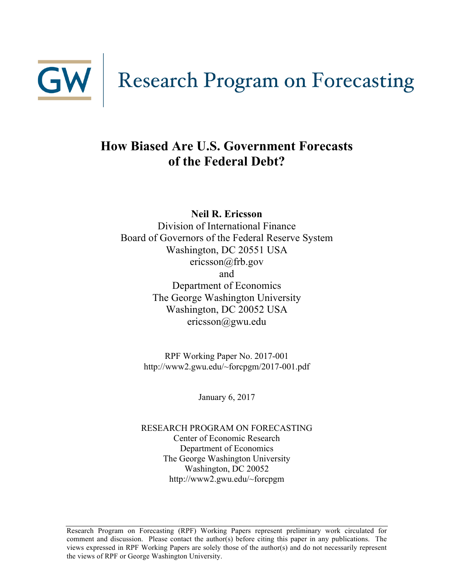

# **How Biased Are U.S. Government Forecasts of the Federal Debt?**

**Neil R. Ericsson**

Division of International Finance Board of Governors of the Federal Reserve System Washington, DC 20551 USA ericsson@frb.gov and Department of Economics The George Washington University Washington, DC 20052 USA ericsson@gwu.edu

> RPF Working Paper No. 2017-001 http://www2.gwu.edu/~forcpgm/2017-001.pdf

> > January 6, 2017

RESEARCH PROGRAM ON FORECASTING Center of Economic Research Department of Economics The George Washington University Washington, DC 20052 http://www2.gwu.edu/~forcpgm

Research Program on Forecasting (RPF) Working Papers represent preliminary work circulated for comment and discussion. Please contact the author(s) before citing this paper in any publications. The views expressed in RPF Working Papers are solely those of the author(s) and do not necessarily represent the views of RPF or George Washington University.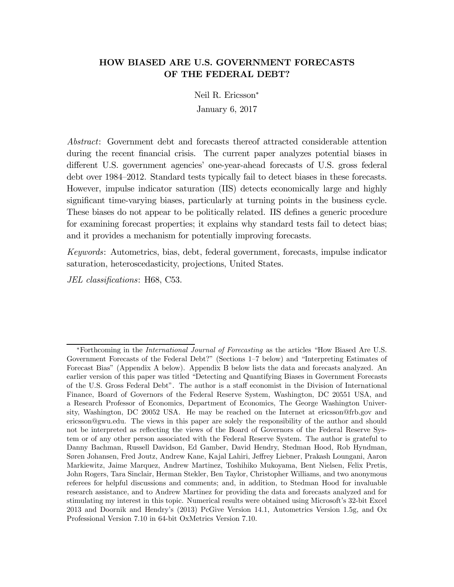#### HOW BIASED ARE U.S. GOVERNMENT FORECASTS OF THE FEDERAL DEBT?

Neil R. Ericsson<sup>∗</sup> January 6, 2017

Abstract: Government debt and forecasts thereof attracted considerable attention during the recent financial crisis. The current paper analyzes potential biases in different U.S. government agencies' one-year-ahead forecasts of U.S. gross federal debt over 1984—2012. Standard tests typically fail to detect biases in these forecasts. However, impulse indicator saturation (IIS) detects economically large and highly significant time-varying biases, particularly at turning points in the business cycle. These biases do not appear to be politically related. IIS defines a generic procedure for examining forecast properties; it explains why standard tests fail to detect bias; and it provides a mechanism for potentially improving forecasts.

Keywords: Autometrics, bias, debt, federal government, forecasts, impulse indicator saturation, heteroscedasticity, projections, United States.

JEL classifications: H68, C53.

<sup>∗</sup>Forthcoming in the International Journal of Forecasting as the articles "How Biased Are U.S. Government Forecasts of the Federal Debt?" (Sections 1—7 below) and "Interpreting Estimates of Forecast Bias" (Appendix A below). Appendix B below lists the data and forecasts analyzed. An earlier version of this paper was titled "Detecting and Quantifying Biases in Government Forecasts of the U.S. Gross Federal Debt". The author is a staff economist in the Division of International Finance, Board of Governors of the Federal Reserve System, Washington, DC 20551 USA, and a Research Professor of Economics, Department of Economics, The George Washington University, Washington, DC 20052 USA. He may be reached on the Internet at ericsson@frb.gov and ericsson@gwu.edu. The views in this paper are solely the responsibility of the author and should not be interpreted as reflecting the views of the Board of Governors of the Federal Reserve System or of any other person associated with the Federal Reserve System. The author is grateful to Danny Bachman, Russell Davidson, Ed Gamber, David Hendry, Stedman Hood, Rob Hyndman, Søren Johansen, Fred Joutz, Andrew Kane, Kajal Lahiri, Jeffrey Liebner, Prakash Loungani, Aaron Markiewitz, Jaime Marquez, Andrew Martinez, Toshihiko Mukoyama, Bent Nielsen, Felix Pretis, John Rogers, Tara Sinclair, Herman Stekler, Ben Taylor, Christopher Williams, and two anonymous referees for helpful discussions and comments; and, in addition, to Stedman Hood for invaluable research assistance, and to Andrew Martinez for providing the data and forecasts analyzed and for stimulating my interest in this topic. Numerical results were obtained using Microsoft's 32-bit Excel 2013 and Doornik and Hendry's (2013) PcGive Version 14.1, Autometrics Version 1.5g, and Ox Professional Version 7.10 in 64-bit OxMetrics Version 7.10.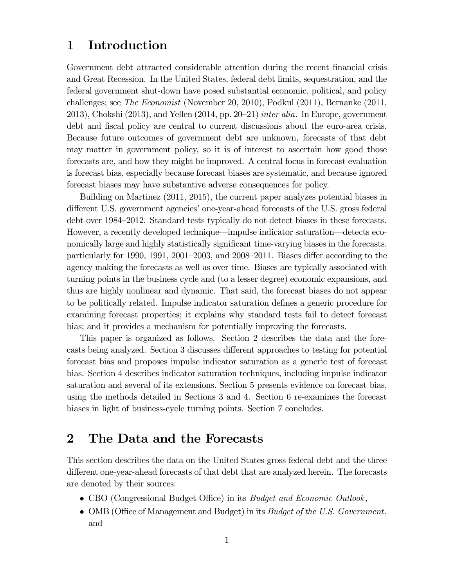## 1 Introduction

Government debt attracted considerable attention during the recent financial crisis and Great Recession. In the United States, federal debt limits, sequestration, and the federal government shut-down have posed substantial economic, political, and policy challenges; see The Economist (November 20, 2010), Podkul (2011), Bernanke (2011, 2013), Chokshi  $(2013)$ , and Yellen  $(2014, pp. 20-21)$  *inter alia.* In Europe, government debt and fiscal policy are central to current discussions about the euro-area crisis. Because future outcomes of government debt are unknown, forecasts of that debt may matter in government policy, so it is of interest to ascertain how good those forecasts are, and how they might be improved. A central focus in forecast evaluation is forecast bias, especially because forecast biases are systematic, and because ignored forecast biases may have substantive adverse consequences for policy.

Building on Martinez (2011, 2015), the current paper analyzes potential biases in different U.S. government agencies' one-year-ahead forecasts of the U.S. gross federal debt over 1984—2012. Standard tests typically do not detect biases in these forecasts. However, a recently developed technique–impulse indicator saturation–detects economically large and highly statistically significant time-varying biases in the forecasts, particularly for 1990, 1991, 2001—2003, and 2008—2011. Biases differ according to the agency making the forecasts as well as over time. Biases are typically associated with turning points in the business cycle and (to a lesser degree) economic expansions, and thus are highly nonlinear and dynamic. That said, the forecast biases do not appear to be politically related. Impulse indicator saturation defines a generic procedure for examining forecast properties; it explains why standard tests fail to detect forecast bias; and it provides a mechanism for potentially improving the forecasts.

This paper is organized as follows. Section 2 describes the data and the forecasts being analyzed. Section 3 discusses different approaches to testing for potential forecast bias and proposes impulse indicator saturation as a generic test of forecast bias. Section 4 describes indicator saturation techniques, including impulse indicator saturation and several of its extensions. Section 5 presents evidence on forecast bias, using the methods detailed in Sections 3 and 4. Section 6 re-examines the forecast biases in light of business-cycle turning points. Section 7 concludes.

## 2 The Data and the Forecasts

This section describes the data on the United States gross federal debt and the three different one-year-ahead forecasts of that debt that are analyzed herein. The forecasts are denoted by their sources:

- CBO (Congressional Budget Office) in its *Budget and Economic Outlook*,
- OMB (Office of Management and Budget) in its *Budget of the U.S. Government*, and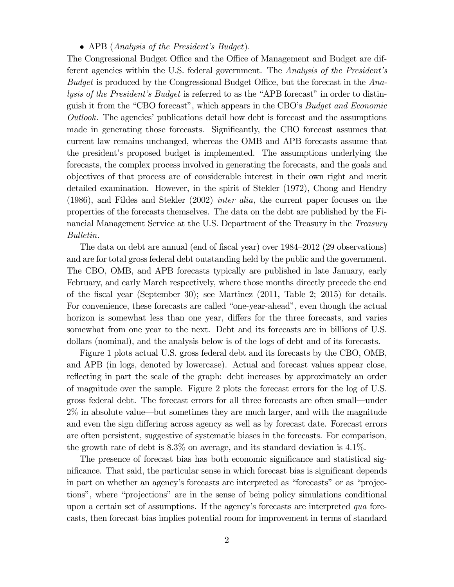#### • APB (*Analysis of the President's Budget*).

The Congressional Budget Office and the Office of Management and Budget are different agencies within the U.S. federal government. The Analysis of the President's Budget is produced by the Congressional Budget Office, but the forecast in the Analysis of the President's Budget is referred to as the "APB forecast" in order to distinguish it from the "CBO forecast", which appears in the CBO's Budget and Economic Outlook. The agencies' publications detail how debt is forecast and the assumptions made in generating those forecasts. Significantly, the CBO forecast assumes that current law remains unchanged, whereas the OMB and APB forecasts assume that the president's proposed budget is implemented. The assumptions underlying the forecasts, the complex process involved in generating the forecasts, and the goals and objectives of that process are of considerable interest in their own right and merit detailed examination. However, in the spirit of Stekler (1972), Chong and Hendry (1986), and Fildes and Stekler (2002) inter alia, the current paper focuses on the properties of the forecasts themselves. The data on the debt are published by the Financial Management Service at the U.S. Department of the Treasury in the Treasury Bulletin.

The data on debt are annual (end of fiscal year) over 1984—2012 (29 observations) and are for total gross federal debt outstanding held by the public and the government. The CBO, OMB, and APB forecasts typically are published in late January, early February, and early March respectively, where those months directly precede the end of the fiscal year (September 30); see Martinez (2011, Table 2; 2015) for details. For convenience, these forecasts are called "one-year-ahead", even though the actual horizon is somewhat less than one year, differs for the three forecasts, and varies somewhat from one year to the next. Debt and its forecasts are in billions of U.S. dollars (nominal), and the analysis below is of the logs of debt and of its forecasts.

Figure 1 plots actual U.S. gross federal debt and its forecasts by the CBO, OMB, and APB (in logs, denoted by lowercase). Actual and forecast values appear close, reflecting in part the scale of the graph: debt increases by approximately an order of magnitude over the sample. Figure 2 plots the forecast errors for the log of U.S. gross federal debt. The forecast errors for all three forecasts are often small–under 2% in absolute value–but sometimes they are much larger, and with the magnitude and even the sign differing across agency as well as by forecast date. Forecast errors are often persistent, suggestive of systematic biases in the forecasts. For comparison, the growth rate of debt is  $8.3\%$  on average, and its standard deviation is 4.1%.

The presence of forecast bias has both economic significance and statistical significance. That said, the particular sense in which forecast bias is significant depends in part on whether an agency's forecasts are interpreted as "forecasts" or as "projections", where "projections" are in the sense of being policy simulations conditional upon a certain set of assumptions. If the agency's forecasts are interpreted qua forecasts, then forecast bias implies potential room for improvement in terms of standard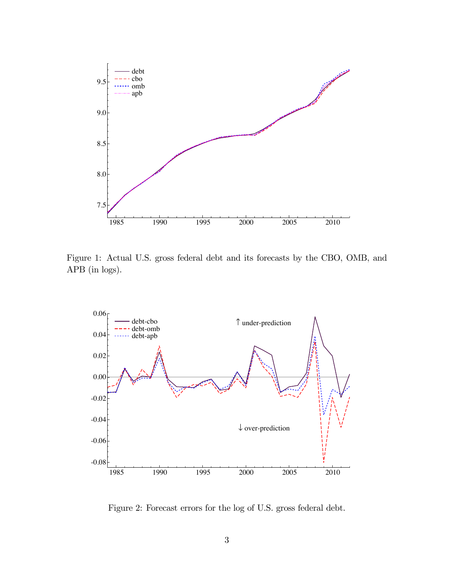

Figure 1: Actual U.S. gross federal debt and its forecasts by the CBO, OMB, and APB (in logs).



Figure 2: Forecast errors for the log of U.S. gross federal debt.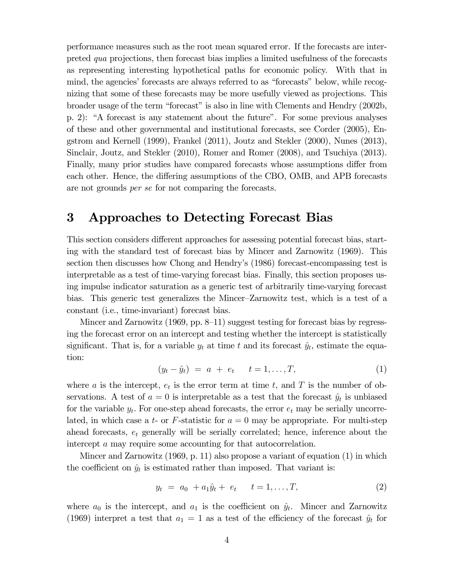performance measures such as the root mean squared error. If the forecasts are interpreted qua projections, then forecast bias implies a limited usefulness of the forecasts as representing interesting hypothetical paths for economic policy. With that in mind, the agencies' forecasts are always referred to as "forecasts" below, while recognizing that some of these forecasts may be more usefully viewed as projections. This broader usage of the term "forecast" is also in line with Clements and Hendry (2002b, p. 2): "A forecast is any statement about the future". For some previous analyses of these and other governmental and institutional forecasts, see Corder (2005), Engstrom and Kernell (1999), Frankel (2011), Joutz and Stekler (2000), Nunes (2013), Sinclair, Joutz, and Stekler (2010), Romer and Romer (2008), and Tsuchiya (2013). Finally, many prior studies have compared forecasts whose assumptions differ from each other. Hence, the differing assumptions of the CBO, OMB, and APB forecasts are not grounds per se for not comparing the forecasts.

### 3 Approaches to Detecting Forecast Bias

This section considers different approaches for assessing potential forecast bias, starting with the standard test of forecast bias by Mincer and Zarnowitz (1969). This section then discusses how Chong and Hendry's (1986) forecast-encompassing test is interpretable as a test of time-varying forecast bias. Finally, this section proposes using impulse indicator saturation as a generic test of arbitrarily time-varying forecast bias. This generic test generalizes the Mincer—Zarnowitz test, which is a test of a constant (i.e., time-invariant) forecast bias.

Mincer and Zarnowitz (1969, pp. 8–11) suggest testing for forecast bias by regressing the forecast error on an intercept and testing whether the intercept is statistically significant. That is, for a variable  $y_t$  at time t and its forecast  $\hat{y}_t$ , estimate the equation:

$$
(y_t - \hat{y}_t) = a + e_t \t t = 1, ..., T,
$$
 (1)

where a is the intercept,  $e_t$  is the error term at time t, and T is the number of observations. A test of  $a = 0$  is interpretable as a test that the forecast  $\hat{y}_t$  is unbiased for the variable  $y_t$ . For one-step ahead forecasts, the error  $e_t$  may be serially uncorrelated, in which case a t- or F-statistic for  $a = 0$  may be appropriate. For multi-step ahead forecasts,  $e_t$  generally will be serially correlated; hence, inference about the intercept a may require some accounting for that autocorrelation.

Mincer and Zarnowitz (1969, p. 11) also propose a variant of equation (1) in which the coefficient on  $\hat{y}_t$  is estimated rather than imposed. That variant is:

$$
y_t = a_0 + a_1 \hat{y}_t + e_t \t t = 1, ..., T,
$$
 (2)

where  $a_0$  is the intercept, and  $a_1$  is the coefficient on  $\hat{y}_t$ . Mincer and Zarnowitz (1969) interpret a test that  $a_1 = 1$  as a test of the efficiency of the forecast  $\hat{y}_t$  for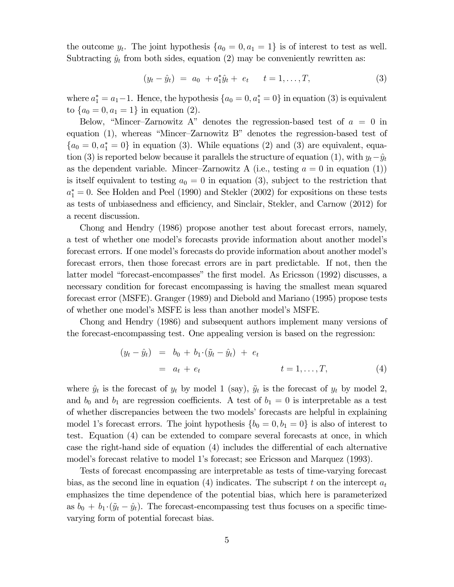the outcome  $y_t$ . The joint hypothesis  $\{a_0 = 0, a_1 = 1\}$  is of interest to test as well. Subtracting  $\hat{y}_t$  from both sides, equation (2) may be conveniently rewritten as:

$$
(y_t - \hat{y}_t) = a_0 + a_1^* \hat{y}_t + e_t \qquad t = 1, ..., T,
$$
 (3)

where  $a_1^* = a_1 - 1$ . Hence, the hypothesis  $\{a_0 = 0, a_1^* = 0\}$  in equation (3) is equivalent to  $\{a_0 = 0, a_1 = 1\}$  in equation (2).

Below, "Mincer-Zarnowitz A" denotes the regression-based test of  $a = 0$  in equation (1), whereas "Mincer—Zarnowitz B" denotes the regression-based test of  ${a_0 = 0, a_1^* = 0}$  in equation (3). While equations (2) and (3) are equivalent, equation (3) is reported below because it parallels the structure of equation (1), with  $y_t-\hat{y}_t$ as the dependent variable. Mincer-Zarnowitz A (i.e., testing  $a = 0$  in equation (1)) is itself equivalent to testing  $a_0 = 0$  in equation (3), subject to the restriction that  $a_1^* = 0$ . See Holden and Peel (1990) and Stekler (2002) for expositions on these tests as tests of unbiasedness and efficiency, and Sinclair, Stekler, and Carnow (2012) for a recent discussion.

Chong and Hendry (1986) propose another test about forecast errors, namely, a test of whether one model's forecasts provide information about another model's forecast errors. If one model's forecasts do provide information about another model's forecast errors, then those forecast errors are in part predictable. If not, then the latter model "forecast-encompasses" the first model. As Ericsson (1992) discusses, a necessary condition for forecast encompassing is having the smallest mean squared forecast error (MSFE). Granger (1989) and Diebold and Mariano (1995) propose tests of whether one model's MSFE is less than another model's MSFE.

Chong and Hendry (1986) and subsequent authors implement many versions of the forecast-encompassing test. One appealing version is based on the regression:

$$
(y_t - \hat{y}_t) = b_0 + b_1 \cdot (\tilde{y}_t - \hat{y}_t) + e_t
$$
  
=  $a_t + e_t$   $t = 1, ..., T,$  (4)

where  $\hat{y}_t$  is the forecast of  $y_t$  by model 1 (say),  $\tilde{y}_t$  is the forecast of  $y_t$  by model 2, and  $b_0$  and  $b_1$  are regression coefficients. A test of  $b_1 = 0$  is interpretable as a test of whether discrepancies between the two models' forecasts are helpful in explaining model 1's forecast errors. The joint hypothesis  $\{b_0 = 0, b_1 = 0\}$  is also of interest to test. Equation (4) can be extended to compare several forecasts at once, in which case the right-hand side of equation (4) includes the differential of each alternative model's forecast relative to model 1's forecast; see Ericsson and Marquez (1993).

Tests of forecast encompassing are interpretable as tests of time-varying forecast bias, as the second line in equation (4) indicates. The subscript t on the intercept  $a_t$ emphasizes the time dependence of the potential bias, which here is parameterized as  $b_0 + b_1 \cdot (\tilde{y}_t - \hat{y}_t)$ . The forecast-encompassing test thus focuses on a specific timevarying form of potential forecast bias.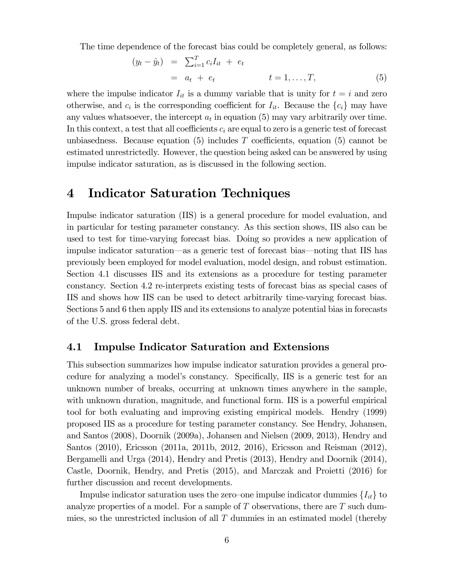The time dependence of the forecast bias could be completely general, as follows:

$$
(y_t - \hat{y}_t) = \sum_{i=1}^T c_i I_{it} + e_t
$$
  
=  $a_t + e_t$   $t = 1, ..., T,$  (5)

where the impulse indicator  $I_{it}$  is a dummy variable that is unity for  $t = i$  and zero otherwise, and  $c_i$  is the corresponding coefficient for  $I_{it}$ . Because the  $\{c_i\}$  may have any values whatsoever, the intercept  $a_t$  in equation (5) may vary arbitrarily over time. In this context, a test that all coefficients  $c_i$  are equal to zero is a generic test of forecast unbiasedness. Because equation (5) includes T coefficients, equation (5) cannot be estimated unrestrictedly. However, the question being asked can be answered by using impulse indicator saturation, as is discussed in the following section.

### 4 Indicator Saturation Techniques

Impulse indicator saturation (IIS) is a general procedure for model evaluation, and in particular for testing parameter constancy. As this section shows, IIS also can be used to test for time-varying forecast bias. Doing so provides a new application of impulse indicator saturation–as a generic test of forecast bias–noting that IIS has previously been employed for model evaluation, model design, and robust estimation. Section 4.1 discusses IIS and its extensions as a procedure for testing parameter constancy. Section 4.2 re-interprets existing tests of forecast bias as special cases of IIS and shows how IIS can be used to detect arbitrarily time-varying forecast bias. Sections 5 and 6 then apply IIS and its extensions to analyze potential bias in forecasts of the U.S. gross federal debt.

#### 4.1 Impulse Indicator Saturation and Extensions

This subsection summarizes how impulse indicator saturation provides a general procedure for analyzing a model's constancy. Specifically, IIS is a generic test for an unknown number of breaks, occurring at unknown times anywhere in the sample, with unknown duration, magnitude, and functional form. IIS is a powerful empirical tool for both evaluating and improving existing empirical models. Hendry (1999) proposed IIS as a procedure for testing parameter constancy. See Hendry, Johansen, and Santos (2008), Doornik (2009a), Johansen and Nielsen (2009, 2013), Hendry and Santos (2010), Ericsson (2011a, 2011b, 2012, 2016), Ericsson and Reisman (2012), Bergamelli and Urga (2014), Hendry and Pretis (2013), Hendry and Doornik (2014), Castle, Doornik, Hendry, and Pretis (2015), and Marczak and Proietti (2016) for further discussion and recent developments.

Impulse indicator saturation uses the zero–one impulse indicator dummies  $\{I_{it}\}\$ to analyze properties of a model. For a sample of  $T$  observations, there are  $T$  such dummies, so the unrestricted inclusion of all  $T$  dummies in an estimated model (thereby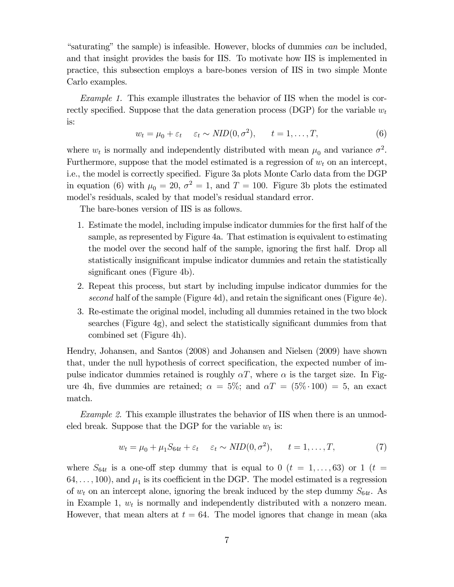"saturating" the sample) is infeasible. However, blocks of dummies can be included, and that insight provides the basis for IIS. To motivate how IIS is implemented in practice, this subsection employs a bare-bones version of IIS in two simple Monte Carlo examples.

Example 1. This example illustrates the behavior of IIS when the model is correctly specified. Suppose that the data generation process (DGP) for the variable  $w_t$ is:

$$
w_t = \mu_0 + \varepsilon_t \quad \varepsilon_t \sim NID(0, \sigma^2), \quad t = 1, \dots, T,
$$
 (6)

where  $w_t$  is normally and independently distributed with mean  $\mu_0$  and variance  $\sigma^2$ . Furthermore, suppose that the model estimated is a regression of  $w_t$  on an intercept, i.e., the model is correctly specified. Figure 3a plots Monte Carlo data from the DGP in equation (6) with  $\mu_0 = 20, \sigma^2 = 1$ , and  $T = 100$ . Figure 3b plots the estimated model's residuals, scaled by that model's residual standard error.

The bare-bones version of IIS is as follows.

- 1. Estimate the model, including impulse indicator dummies for the first half of the sample, as represented by Figure 4a. That estimation is equivalent to estimating the model over the second half of the sample, ignoring the first half. Drop all statistically insignificant impulse indicator dummies and retain the statistically significant ones (Figure 4b).
- 2. Repeat this process, but start by including impulse indicator dummies for the second half of the sample (Figure 4d), and retain the significant ones (Figure 4e).
- 3. Re-estimate the original model, including all dummies retained in the two block searches (Figure 4g), and select the statistically significant dummies from that combined set (Figure 4h).

Hendry, Johansen, and Santos (2008) and Johansen and Nielsen (2009) have shown that, under the null hypothesis of correct specification, the expected number of impulse indicator dummies retained is roughly  $\alpha T$ , where  $\alpha$  is the target size. In Figure 4h, five dummies are retained;  $\alpha = 5\%$ ; and  $\alpha T = (5\% \cdot 100) = 5$ , an exact match.

Example 2. This example illustrates the behavior of IIS when there is an unmodeled break. Suppose that the DGP for the variable  $w_t$  is:

$$
w_t = \mu_0 + \mu_1 S_{64t} + \varepsilon_t \quad \varepsilon_t \sim NID(0, \sigma^2), \quad t = 1, \dots, T,
$$
 (7)

where  $S_{64t}$  is a one-off step dummy that is equal to 0  $(t = 1,\ldots,63)$  or 1  $(t =$  $64,\ldots, 100$ , and  $\mu_1$  is its coefficient in the DGP. The model estimated is a regression of  $w_t$  on an intercept alone, ignoring the break induced by the step dummy  $S_{64t}$ . As in Example 1,  $w_t$  is normally and independently distributed with a nonzero mean. However, that mean alters at  $t = 64$ . The model ignores that change in mean (aka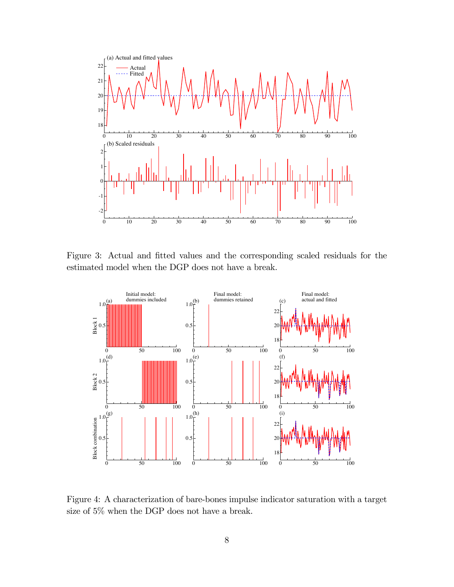

Figure 3: Actual and fitted values and the corresponding scaled residuals for the estimated model when the DGP does not have a break.



Figure 4: A characterization of bare-bones impulse indicator saturation with a target size of 5% when the DGP does not have a break.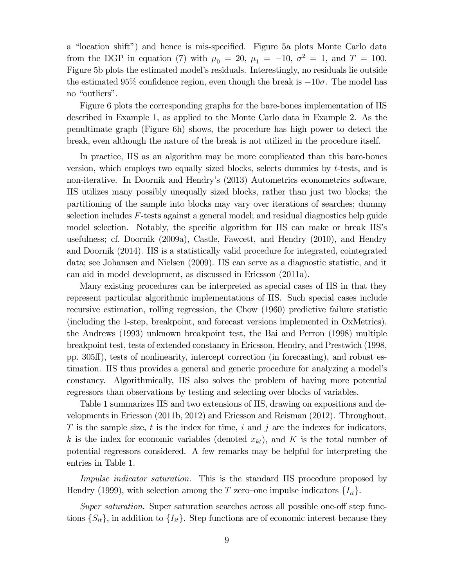a "location shift") and hence is mis-specified. Figure 5a plots Monte Carlo data from the DGP in equation (7) with  $\mu_0 = 20$ ,  $\mu_1 = -10$ ,  $\sigma^2 = 1$ , and  $T = 100$ . Figure 5b plots the estimated model's residuals. Interestingly, no residuals lie outside the estimated 95% confidence region, even though the break is  $-10\sigma$ . The model has no "outliers".

Figure 6 plots the corresponding graphs for the bare-bones implementation of IIS described in Example 1, as applied to the Monte Carlo data in Example 2. As the penultimate graph (Figure 6h) shows, the procedure has high power to detect the break, even although the nature of the break is not utilized in the procedure itself.

In practice, IIS as an algorithm may be more complicated than this bare-bones version, which employs two equally sized blocks, selects dummies by  $t$ -tests, and is non-iterative. In Doornik and Hendry's (2013) Autometrics econometrics software, IIS utilizes many possibly unequally sized blocks, rather than just two blocks; the partitioning of the sample into blocks may vary over iterations of searches; dummy selection includes  $F$ -tests against a general model; and residual diagnostics help guide model selection. Notably, the specific algorithm for IIS can make or break IIS's usefulness; cf. Doornik (2009a), Castle, Fawcett, and Hendry (2010), and Hendry and Doornik (2014). IIS is a statistically valid procedure for integrated, cointegrated data; see Johansen and Nielsen (2009). IIS can serve as a diagnostic statistic, and it can aid in model development, as discussed in Ericsson (2011a).

Many existing procedures can be interpreted as special cases of IIS in that they represent particular algorithmic implementations of IIS. Such special cases include recursive estimation, rolling regression, the Chow (1960) predictive failure statistic (including the 1-step, breakpoint, and forecast versions implemented in OxMetrics), the Andrews (1993) unknown breakpoint test, the Bai and Perron (1998) multiple breakpoint test, tests of extended constancy in Ericsson, Hendry, and Prestwich (1998, pp. 305ff), tests of nonlinearity, intercept correction (in forecasting), and robust estimation. IIS thus provides a general and generic procedure for analyzing a model's constancy. Algorithmically, IIS also solves the problem of having more potential regressors than observations by testing and selecting over blocks of variables.

Table 1 summarizes IIS and two extensions of IIS, drawing on expositions and developments in Ericsson (2011b, 2012) and Ericsson and Reisman (2012). Throughout, T is the sample size, t is the index for time, i and j are the indexes for indicators, k is the index for economic variables (denoted  $(x_{kt})$ , and K is the total number of potential regressors considered. A few remarks may be helpful for interpreting the entries in Table 1.

Impulse indicator saturation. This is the standard IIS procedure proposed by Hendry (1999), with selection among the T zero–one impulse indicators  $\{I_{it}\}\$ .

Super saturation. Super saturation searches across all possible one-off step functions  $\{S_{it}\}\$ , in addition to  $\{I_{it}\}\$ . Step functions are of economic interest because they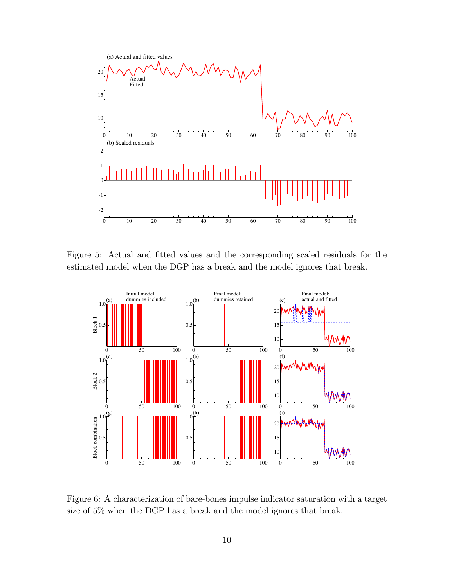

Figure 5: Actual and fitted values and the corresponding scaled residuals for the estimated model when the DGP has a break and the model ignores that break.



Figure 6: A characterization of bare-bones impulse indicator saturation with a target size of 5% when the DGP has a break and the model ignores that break.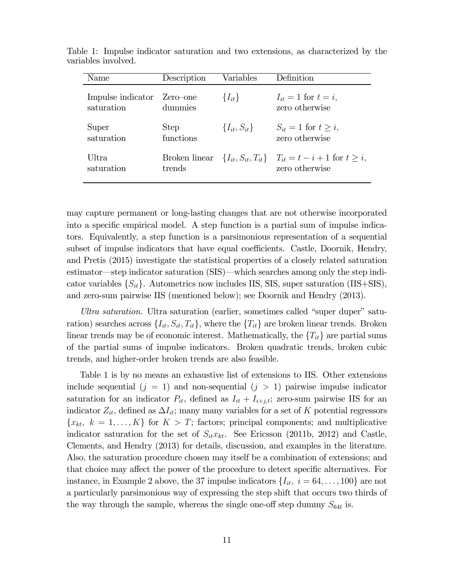| Name              | Description   | Variables             | Definition                                                         |
|-------------------|---------------|-----------------------|--------------------------------------------------------------------|
| Impulse indicator | Zero-one      | $\{I_{it}\}\$         | $I_{it} = 1$ for $t = i$ ,                                         |
| saturation        | dummies       |                       | zero otherwise                                                     |
| Super             | <b>Step</b>   | $\{I_{it}, S_{it}\}\$ | $S_{it} = 1$ for $t > i$ ,                                         |
| saturation        | functions     |                       | zero otherwise                                                     |
| Ultra             | Broken linear |                       | $\{I_{it}, S_{it}, T_{it}\}$ $T_{it} = t - i + 1$ for $t \geq i$ , |
| saturation        | trends        |                       | zero otherwise                                                     |

Table 1: Impulse indicator saturation and two extensions, as characterized by the variables involved.

may capture permanent or long-lasting changes that are not otherwise incorporated into a specific empirical model. A step function is a partial sum of impulse indicators. Equivalently, a step function is a parsimonious representation of a sequential subset of impulse indicators that have equal coefficients. Castle, Doornik, Hendry, and Pretis (2015) investigate the statistical properties of a closely related saturation estimator–step indicator saturation (SIS)–which searches among only the step indicator variables  $\{S_{it}\}\$ . Autometrics now includes IIS, SIS, super saturation (IIS+SIS), and zero-sum pairwise IIS (mentioned below); see Doornik and Hendry (2013).

Ultra saturation. Ultra saturation (earlier, sometimes called "super duper" saturation) searches across  $\{I_{it}, S_{it}, T_{it}\}$ , where the  $\{T_{it}\}$  are broken linear trends. Broken linear trends may be of economic interest. Mathematically, the  ${T_{it}}$  are partial sums of the partial sums of impulse indicators. Broken quadratic trends, broken cubic trends, and higher-order broken trends are also feasible.

Table 1 is by no means an exhaustive list of extensions to IIS. Other extensions include sequential  $(j = 1)$  and non-sequential  $(j > 1)$  pairwise impulse indicator saturation for an indicator  $P_{it}$ , defined as  $I_{it} + I_{i+j,t}$ ; zero-sum pairwise IIS for an indicator  $Z_{it}$ , defined as  $\Delta I_{it}$ ; many many variables for a set of K potential regressors  ${x_{kt}, k = 1,..., K}$  for  $K > T$ ; factors; principal components; and multiplicative indicator saturation for the set of  $S_{it}x_{kt}$ . See Ericsson (2011b, 2012) and Castle, Clements, and Hendry (2013) for details, discussion, and examples in the literature. Also, the saturation procedure chosen may itself be a combination of extensions; and that choice may affect the power of the procedure to detect specific alternatives. For instance, in Example 2 above, the 37 impulse indicators  $\{I_{it}, i = 64,\ldots, 100\}$  are not a particularly parsimonious way of expressing the step shift that occurs two thirds of the way through the sample, whereas the single one-off step dummy  $S_{64t}$  is.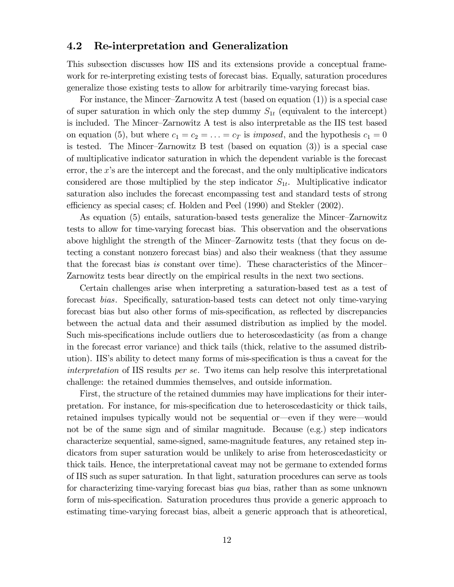#### 4.2 Re-interpretation and Generalization

This subsection discusses how IIS and its extensions provide a conceptual framework for re-interpreting existing tests of forecast bias. Equally, saturation procedures generalize those existing tests to allow for arbitrarily time-varying forecast bias.

For instance, the Mincer—Zarnowitz A test (based on equation (1)) is a special case of super saturation in which only the step dummy  $S_{1t}$  (equivalent to the intercept) is included. The Mincer—Zarnowitz A test is also interpretable as the IIS test based on equation (5), but where  $c_1 = c_2 = \ldots = c_T$  is *imposed*, and the hypothesis  $c_1 = 0$ is tested. The Mincer—Zarnowitz B test (based on equation (3)) is a special case of multiplicative indicator saturation in which the dependent variable is the forecast error, the  $x$ 's are the intercept and the forecast, and the only multiplicative indicators considered are those multiplied by the step indicator  $S_{1t}$ . Multiplicative indicator saturation also includes the forecast encompassing test and standard tests of strong efficiency as special cases; cf. Holden and Peel (1990) and Stekler (2002).

As equation (5) entails, saturation-based tests generalize the Mincer—Zarnowitz tests to allow for time-varying forecast bias. This observation and the observations above highlight the strength of the Mincer—Zarnowitz tests (that they focus on detecting a constant nonzero forecast bias) and also their weakness (that they assume that the forecast bias is constant over time). These characteristics of the Mincer— Zarnowitz tests bear directly on the empirical results in the next two sections.

Certain challenges arise when interpreting a saturation-based test as a test of forecast bias. Specifically, saturation-based tests can detect not only time-varying forecast bias but also other forms of mis-specification, as reflected by discrepancies between the actual data and their assumed distribution as implied by the model. Such mis-specifications include outliers due to heteroscedasticity (as from a change in the forecast error variance) and thick tails (thick, relative to the assumed distribution). IIS's ability to detect many forms of mis-specification is thus a caveat for the interpretation of IIS results per se. Two items can help resolve this interpretational challenge: the retained dummies themselves, and outside information.

First, the structure of the retained dummies may have implications for their interpretation. For instance, for mis-specification due to heteroscedasticity or thick tails, retained impulses typically would not be sequential or–even if they were–would not be of the same sign and of similar magnitude. Because (e.g.) step indicators characterize sequential, same-signed, same-magnitude features, any retained step indicators from super saturation would be unlikely to arise from heteroscedasticity or thick tails. Hence, the interpretational caveat may not be germane to extended forms of IIS such as super saturation. In that light, saturation procedures can serve as tools for characterizing time-varying forecast bias qua bias, rather than as some unknown form of mis-specification. Saturation procedures thus provide a generic approach to estimating time-varying forecast bias, albeit a generic approach that is atheoretical,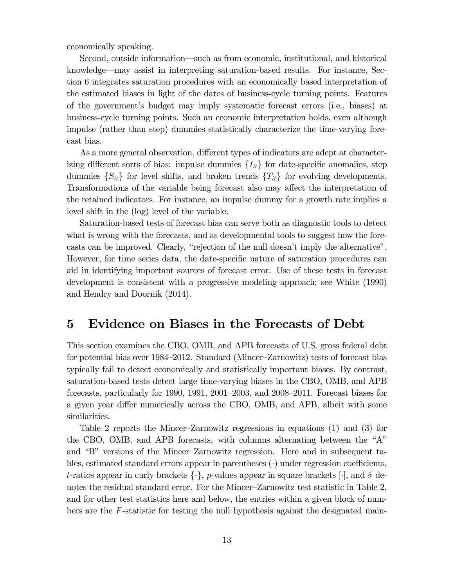economically speaking.

Second, outside information–such as from economic, institutional, and historical knowledge–may assist in interpreting saturation-based results. For instance, Section 6 integrates saturation procedures with an economically based interpretation of the estimated biases in light of the dates of business-cycle turning points. Features of the government's budget may imply systematic forecast errors (i.e., biases) at business-cycle turning points. Such an economic interpretation holds, even although impulse (rather than step) dummies statistically characterize the time-varying forecast bias.

As a more general observation, different types of indicators are adept at characterizing different sorts of bias: impulse dummies  $\{I_{it}\}\$ for date-specific anomalies, step dummies  $\{S_{it}\}\$  for level shifts, and broken trends  $\{T_{it}\}\$  for evolving developments. Transformations of the variable being forecast also may affect the interpretation of the retained indicators. For instance, an impulse dummy for a growth rate implies a level shift in the (log) level of the variable.

Saturation-based tests of forecast bias can serve both as diagnostic tools to detect what is wrong with the forecasts, and as developmental tools to suggest how the forecasts can be improved. Clearly, "rejection of the null doesn't imply the alternative". However, for time series data, the date-specific nature of saturation procedures can aid in identifying important sources of forecast error. Use of these tests in forecast development is consistent with a progressive modeling approach; see White (1990) and Hendry and Doornik (2014).

### 5 Evidence on Biases in the Forecasts of Debt

This section examines the CBO, OMB, and APB forecasts of U.S. gross federal debt for potential bias over 1984—2012. Standard (Mincer—Zarnowitz) tests of forecast bias typically fail to detect economically and statistically important biases. By contrast, saturation-based tests detect large time-varying biases in the CBO, OMB, and APB forecasts, particularly for 1990, 1991, 2001—2003, and 2008—2011. Forecast biases for a given year differ numerically across the CBO, OMB, and APB, albeit with some similarities.

Table 2 reports the Mincer—Zarnowitz regressions in equations (1) and (3) for the CBO, OMB, and APB forecasts, with columns alternating between the "A" and "B" versions of the Mincer—Zarnowitz regression. Here and in subsequent tables, estimated standard errors appear in parentheses  $(\cdot)$  under regression coefficients, t-ratios appear in curly brackets  $\{\cdot\}$ , p-values appear in square brackets  $[\cdot]$ , and  $\hat{\sigma}$  denotes the residual standard error. For the Mincer—Zarnowitz test statistic in Table 2, and for other test statistics here and below, the entries within a given block of numbers are the I-statistic for testing the null hypothesis against the designated main-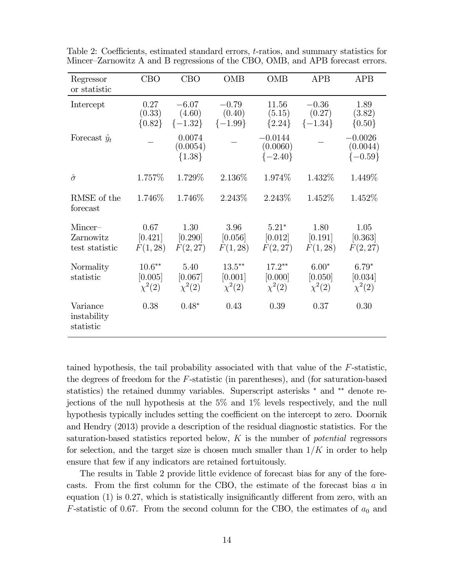| Regressor<br>or statistic                | CBO                                | <b>CBO</b>                       | <b>OMB</b>                          | <b>OMB</b>                         | <b>APB</b>                        | <b>APB</b>                           |
|------------------------------------------|------------------------------------|----------------------------------|-------------------------------------|------------------------------------|-----------------------------------|--------------------------------------|
| Intercept                                | 0.27<br>(0.33)<br>${0.82}$         | $-6.07$<br>(4.60)<br>$\{-1.32\}$ | $-0.79$<br>(0.40)<br>$\{-1.99\}$    | 11.56<br>(5.15)<br>${2.24}$        | $-0.36$<br>(0.27)<br>$\{-1.34\}$  | 1.89<br>(3.82)<br>${0.50}$           |
| Forecast $\hat{y}_t$                     |                                    | 0.0074<br>(0.0054)<br>${1.38}$   |                                     | 0.0144<br>(0.0060)<br>$\{-2.40\}$  |                                   | $-0.0026$<br>(0.0044)<br>$\{-0.59\}$ |
| $\hat{\sigma}$                           | 1.757\%                            | 1.729%                           | 2.136%                              | 1.974\%                            | 1.432\%                           | 1.449\%                              |
| RMSE of the<br>forecast                  | 1.746\%                            | 1.746\%                          | 2.243\%                             | 2.243\%                            | 1.452\%                           | 1.452\%                              |
| $Mincer-$<br>Zarnowitz<br>test statistic | 0.67<br>[0.421]<br>F(1, 28)        | 1.30<br>[0.290]<br>F(2, 27)      | 3.96<br>[0.056]<br>F(1, 28)         | $5.21*$<br>[0.012]<br>F(2, 27)     | 1.80<br>[0.191]<br>F(1, 28)       | 1.05<br>[0.363]<br>F(2, 27)          |
| Normality<br>statistic                   | $10.6**$<br>[0.005]<br>$\chi^2(2)$ | 5.40<br>[0.067]<br>$\chi^2(2)$   | $13.5***$<br>[0.001]<br>$\chi^2(2)$ | $17.2**$<br>[0.000]<br>$\chi^2(2)$ | $6.00*$<br>[0.050]<br>$\chi^2(2)$ | $6.79*$<br>[0.034]<br>$\chi^2(2)$    |
| Variance<br>instability<br>statistic     | 0.38                               | $0.48*$                          | 0.43                                | 0.39                               | 0.37                              | 0.30                                 |

Table 2: Coefficients, estimated standard errors,  $t$ -ratios, and summary statistics for Mincer—Zarnowitz A and B regressions of the CBO, OMB, and APB forecast errors.

tained hypothesis, the tail probability associated with that value of the  $F\text{-statistic}$ , the degrees of freedom for the  $F$ -statistic (in parentheses), and (for saturation-based statistics) the retained dummy variables. Superscript asterisks  $*$  and  $**$  denote rejections of the null hypothesis at the 5% and 1% levels respectively, and the null hypothesis typically includes setting the coefficient on the intercept to zero. Doornik and Hendry (2013) provide a description of the residual diagnostic statistics. For the saturation-based statistics reported below,  $K$  is the number of *potential* regressors for selection, and the target size is chosen much smaller than  $1/K$  in order to help ensure that few if any indicators are retained fortuitously.

The results in Table 2 provide little evidence of forecast bias for any of the forecasts. From the first column for the CBO, the estimate of the forecast bias  $a$  in equation  $(1)$  is 0.27, which is statistically insignificantly different from zero, with an F-statistic of 0.67. From the second column for the CBO, the estimates of  $a_0$  and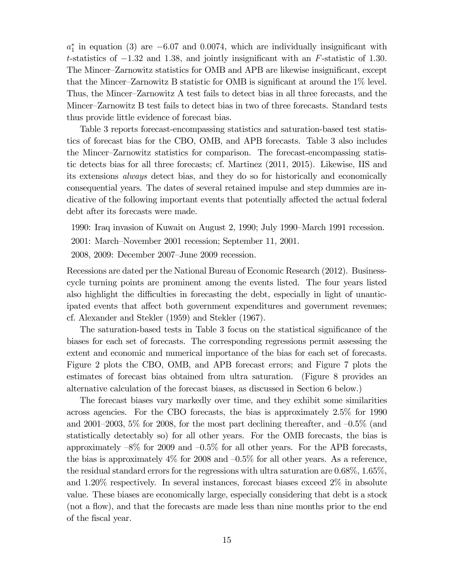$a_1^*$  in equation (3) are  $-6.07$  and 0.0074, which are individually insignificant with t-statistics of  $-1.32$  and 1.38, and jointly insignificant with an F-statistic of 1.30. The Mincer—Zarnowitz statistics for OMB and APB are likewise insignificant, except that the Mincer—Zarnowitz B statistic for OMB is significant at around the 1% level. Thus, the Mincer—Zarnowitz A test fails to detect bias in all three forecasts, and the Mincer—Zarnowitz B test fails to detect bias in two of three forecasts. Standard tests thus provide little evidence of forecast bias.

Table 3 reports forecast-encompassing statistics and saturation-based test statistics of forecast bias for the CBO, OMB, and APB forecasts. Table 3 also includes the Mincer—Zarnowitz statistics for comparison. The forecast-encompassing statistic detects bias for all three forecasts; cf. Martinez (2011, 2015). Likewise, IIS and its extensions always detect bias, and they do so for historically and economically consequential years. The dates of several retained impulse and step dummies are indicative of the following important events that potentially affected the actual federal debt after its forecasts were made.

1990: Iraq invasion of Kuwait on August 2, 1990; July 1990—March 1991 recession.

2001: March—November 2001 recession; September 11, 2001.

2008, 2009: December 2007—June 2009 recession.

Recessions are dated per the National Bureau of Economic Research (2012). Businesscycle turning points are prominent among the events listed. The four years listed also highlight the difficulties in forecasting the debt, especially in light of unanticipated events that affect both government expenditures and government revenues; cf. Alexander and Stekler (1959) and Stekler (1967).

The saturation-based tests in Table 3 focus on the statistical significance of the biases for each set of forecasts. The corresponding regressions permit assessing the extent and economic and numerical importance of the bias for each set of forecasts. Figure 2 plots the CBO, OMB, and APB forecast errors; and Figure 7 plots the estimates of forecast bias obtained from ultra saturation. (Figure 8 provides an alternative calculation of the forecast biases, as discussed in Section 6 below.)

The forecast biases vary markedly over time, and they exhibit some similarities across agencies. For the CBO forecasts, the bias is approximately 2.5% for 1990 and 2001–2003,  $5\%$  for 2008, for the most part declining thereafter, and  $-0.5\%$  (and statistically detectably so) for all other years. For the OMB forecasts, the bias is approximately  $-8\%$  for 2009 and  $-0.5\%$  for all other years. For the APB forecasts, the bias is approximately  $4\%$  for 2008 and  $-0.5\%$  for all other years. As a reference, the residual standard errors for the regressions with ultra saturation are 0.68%, 1.65%, and 1.20% respectively. In several instances, forecast biases exceed 2% in absolute value. These biases are economically large, especially considering that debt is a stock (not a flow), and that the forecasts are made less than nine months prior to the end of the fiscal year.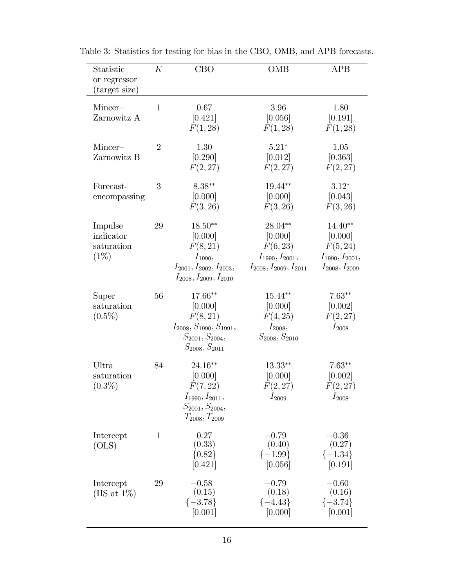| Statistic<br>or regressor<br>(target size)    | К              | <b>CBO</b>                                                                                                           | <b>OMB</b>                                                                                | <b>APB</b>                                                                        |
|-----------------------------------------------|----------------|----------------------------------------------------------------------------------------------------------------------|-------------------------------------------------------------------------------------------|-----------------------------------------------------------------------------------|
| Mincer-<br>Zarnowitz A                        | $\mathbf{1}$   | 0.67<br>[0.421]<br>F(1, 28)                                                                                          | 3.96<br>[0.056]<br>F(1, 28)                                                               | 1.80<br>[0.191]<br>F(1, 28)                                                       |
| Mincer-<br>Zarnowitz B                        | $\overline{2}$ | 1.30<br>[0.290]<br>F(2, 27)                                                                                          | $5.21*$<br>[0.012]<br>F(2, 27)                                                            | $1.05\,$<br>[0.363]<br>F(2, 27)                                                   |
| Forecast-<br>encompassing                     | 3              | $8.38**$<br>[0.000]<br>F(3, 26)                                                                                      | 19.44**<br>[0.000]<br>F(3, 26)                                                            | $3.12*$<br>[0.043]<br>F(3, 26)                                                    |
| Impulse<br>indicator<br>saturation<br>$(1\%)$ | 29             | $18.50**$<br>[0.000]<br>F(8, 21)<br>$I_{1990},$<br>$I_{2001}, I_{2002}, I_{2003},$<br>$I_{2008}, I_{2009}, I_{2010}$ | 28.04**<br>[0.000]<br>F(6, 23)<br>$I_{1990}, I_{2001},$<br>$I_{2008}, I_{2009}, I_{2011}$ | $14.40**$<br>[0.000]<br>F(5, 24)<br>$I_{1990}, I_{2001},$<br>$I_{2008}, I_{2009}$ |
| Super<br>saturation<br>$(0.5\%)$              | 56             | 17.66**<br>[0.000]<br>F(8, 21)<br>$I_{2008}, S_{1990}, S_{1991},$<br>$S_{2001}, S_{2004},$<br>$S_{2008}, S_{2011}$   | $15.44**$<br>[0.000]<br>F(4, 25)<br>$I_{2008},$<br>$S_{2008}, S_{2010}$                   | $7.63**$<br>[0.002]<br>F(2, 27)<br>$I_{2008}$                                     |
| Ultra<br>saturation<br>$(0.3\%)$              | 84             | 24.16**<br>[0.000]<br>F(7,22)<br>$I_{1990}, I_{2011},$<br>$S_{2001}, S_{2004},$<br>$T_{2008}, T_{2009}$              | $13.33**$<br>[0.000]<br>F(2, 27)<br>$I_{2009}$                                            | $7.63**$<br>[0.002]<br>F(2, 27)<br>$I_{2008}$                                     |
| Intercept<br>(OLS)                            | $\mathbf{1}$   | 0.27<br>(0.33)<br>${0.82}$<br>[0.421]                                                                                | $-0.79$<br>(0.40)<br>$\{-1.99\}$<br>[0.056]                                               | $-0.36$<br>(0.27)<br>$\{-1.34\}$<br>[0.191]                                       |
| Intercept<br>(IIS at $1\%$ )                  | 29             | $-0.58$<br>(0.15)<br>$\{-3.78\}$<br>[0.001]                                                                          | $-0.79$<br>(0.18)<br>$\{-4.43\}$<br>[0.000]                                               | $-0.60$<br>(0.16)<br>$\{-3.74\}$<br>[0.001]                                       |

Table 3: Statistics for testing for bias in the CBO, OMB, and APB forecasts.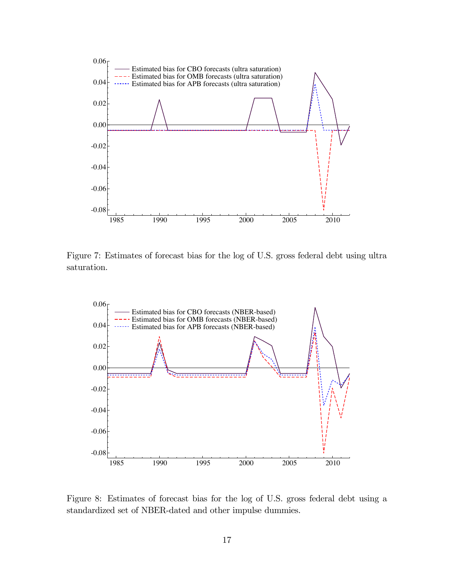

Figure 7: Estimates of forecast bias for the log of U.S. gross federal debt using ultra saturation.



Figure 8: Estimates of forecast bias for the log of U.S. gross federal debt using a standardized set of NBER-dated and other impulse dummies.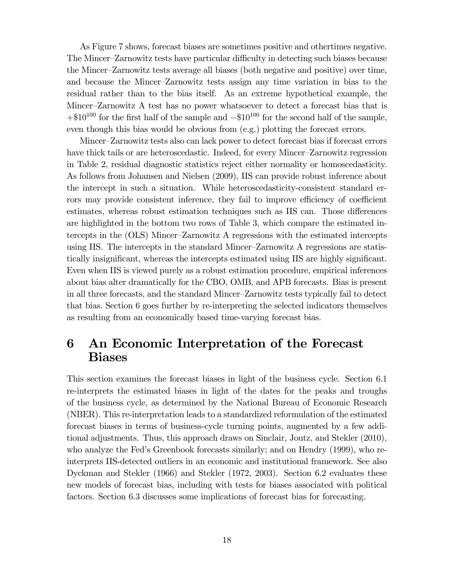As Figure 7 shows, forecast biases are sometimes positive and othertimes negative. The Mincer—Zarnowitz tests have particular difficulty in detecting such biases because the Mincer—Zarnowitz tests average all biases (both negative and positive) over time, and because the Mincer—Zarnowitz tests assign any time variation in bias to the residual rather than to the bias itself. As an extreme hypothetical example, the Mincer—Zarnowitz A test has no power whatsoever to detect a forecast bias that is  $+\$10^{100}$  for the first half of the sample and  $-\$10^{100}$  for the second half of the sample, even though this bias would be obvious from (e.g.) plotting the forecast errors.

Mincer—Zarnowitz tests also can lack power to detect forecast bias if forecast errors have thick tails or are heteroscedastic. Indeed, for every Mincer—Zarnowitz regression in Table 2, residual diagnostic statistics reject either normality or homoscedasticity. As follows from Johansen and Nielsen (2009), IIS can provide robust inference about the intercept in such a situation. While heteroscedasticity-consistent standard errors may provide consistent inference, they fail to improve efficiency of coefficient estimates, whereas robust estimation techniques such as IIS can. Those differences are highlighted in the bottom two rows of Table 3, which compare the estimated intercepts in the (OLS) Mincer—Zarnowitz A regressions with the estimated intercepts using IIS. The intercepts in the standard Mincer—Zarnowitz A regressions are statistically insignificant, whereas the intercepts estimated using IIS are highly significant. Even when IIS is viewed purely as a robust estimation procedure, empirical inferences about bias alter dramatically for the CBO, OMB, and APB forecasts. Bias is present in all three forecasts, and the standard Mincer—Zarnowitz tests typically fail to detect that bias. Section 6 goes further by re-interpreting the selected indicators themselves as resulting from an economically based time-varying forecast bias.

## 6 An Economic Interpretation of the Forecast Biases

This section examines the forecast biases in light of the business cycle. Section 6.1 re-interprets the estimated biases in light of the dates for the peaks and troughs of the business cycle, as determined by the National Bureau of Economic Research (NBER). This re-interpretation leads to a standardized reformulation of the estimated forecast biases in terms of business-cycle turning points, augmented by a few additional adjustments. Thus, this approach draws on Sinclair, Joutz, and Stekler (2010), who analyze the Fed's Greenbook forecasts similarly; and on Hendry (1999), who reinterprets IIS-detected outliers in an economic and institutional framework. See also Dyckman and Stekler (1966) and Stekler (1972, 2003). Section 6.2 evaluates these new models of forecast bias, including with tests for biases associated with political factors. Section 6.3 discusses some implications of forecast bias for forecasting.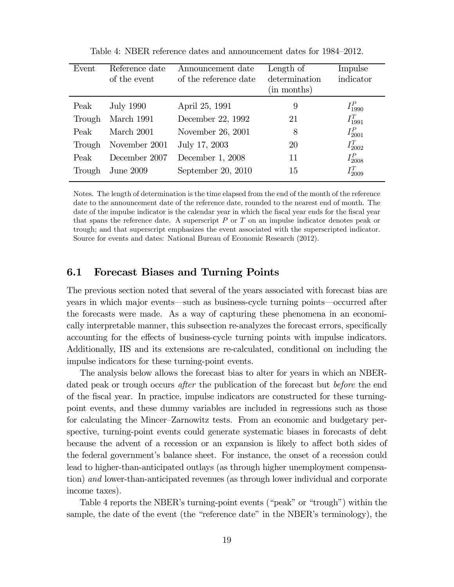| Event  | Reference date<br>of the event | Announcement date<br>of the reference date | Length of<br>determination<br>(in months) | Impulse<br>indicator |
|--------|--------------------------------|--------------------------------------------|-------------------------------------------|----------------------|
| Peak   | <b>July 1990</b>               | April 25, 1991                             | 9                                         | $I_{1990}^P$         |
| Trough | March 1991                     | December 22, 1992                          | 21                                        | $I_{1991}^T$         |
| Peak   | March 2001                     | November 26, 2001                          | 8                                         | $I_{2001}^{P}$       |
| Trough | November 2001                  | July 17, 2003                              | 20                                        | $I_{2002}^{T}$       |
| Peak   | December 2007                  | December 1, 2008                           | 11                                        | $I_{2008}^P$         |
| Trough | <b>June 2009</b>               | September $20, 2010$                       | 15                                        | $I^{T}_{2009}$       |

Table 4: NBER reference dates and announcement dates for 1984—2012.

Notes. The length of determination is the time elapsed from the end of the month of the reference date to the announcement date of the reference date, rounded to the nearest end of month. The date of the impulse indicator is the calendar year in which the fiscal year ends for the fiscal year that spans the reference date. A superscript  $P$  or  $T$  on an impulse indicator denotes peak or trough; and that superscript emphasizes the event associated with the superscripted indicator. Source for events and dates: National Bureau of Economic Research (2012).

#### 6.1 Forecast Biases and Turning Points

The previous section noted that several of the years associated with forecast bias are years in which major events–such as business-cycle turning points–occurred after the forecasts were made. As a way of capturing these phenomena in an economically interpretable manner, this subsection re-analyzes the forecast errors, specifically accounting for the effects of business-cycle turning points with impulse indicators. Additionally, IIS and its extensions are re-calculated, conditional on including the impulse indicators for these turning-point events.

The analysis below allows the forecast bias to alter for years in which an NBERdated peak or trough occurs *after* the publication of the forecast but *before* the end of the fiscal year. In practice, impulse indicators are constructed for these turningpoint events, and these dummy variables are included in regressions such as those for calculating the Mincer—Zarnowitz tests. From an economic and budgetary perspective, turning-point events could generate systematic biases in forecasts of debt because the advent of a recession or an expansion is likely to affect both sides of the federal government's balance sheet. For instance, the onset of a recession could lead to higher-than-anticipated outlays (as through higher unemployment compensation) and lower-than-anticipated revenues (as through lower individual and corporate income taxes).

Table 4 reports the NBER's turning-point events ("peak" or "trough") within the sample, the date of the event (the "reference date" in the NBER's terminology), the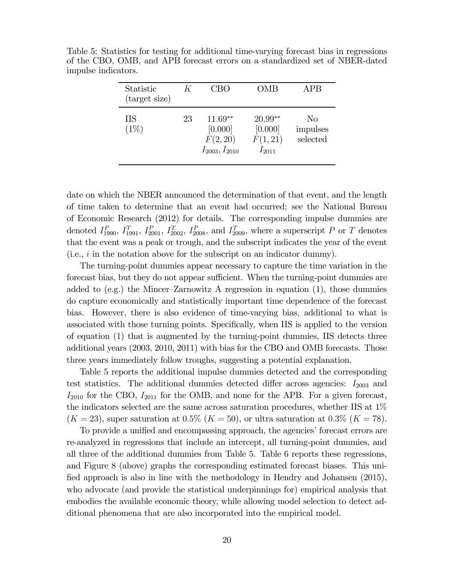| Statistic<br>(target size) | K  | CBO                                                      | OMB                                            | APB                        |
|----------------------------|----|----------------------------------------------------------|------------------------------------------------|----------------------------|
| <b>IIS</b><br>(1%)         | 23 | $11.69**$<br>[0.000]<br>F(2, 20)<br>$I_{2003}, I_{2010}$ | $20.99**$<br>[0.000]<br>F(1, 21)<br>$I_{2011}$ | No<br>impulses<br>selected |

Table 5: Statistics for testing for additional time-varying forecast bias in regressions of the CBO, OMB, and APB forecast errors on a standardized set of NBER-dated impulse indicators.

date on which the NBER announced the determination of that event, and the length of time taken to determine that an event had occurred; see the National Bureau of Economic Research (2012) for details. The corresponding impulse dummies are denoted  $I_{1990}^P$ ,  $I_{1991}^T$ ,  $I_{2001}^P$ ,  $I_{2002}^T$ ,  $I_{2008}^P$ , and  $I_{2009}^T$ , where a superscript P or T denotes that the event was a peak or trough, and the subscript indicates the year of the event (i.e.,  $i$  in the notation above for the subscript on an indicator dummy).

The turning-point dummies appear necessary to capture the time variation in the forecast bias, but they do not appear sufficient. When the turning-point dummies are added to (e.g.) the Mincer-Zarnowitz A regression in equation  $(1)$ , those dummies do capture economically and statistically important time dependence of the forecast bias. However, there is also evidence of time-varying bias, additional to what is associated with those turning points. Specifically, when IIS is applied to the version of equation (1) that is augmented by the turning-point dummies, IIS detects three additional years (2003, 2010, 2011) with bias for the CBO and OMB forecasts. Those three years immediately follow troughs, suggesting a potential explanation.

Table 5 reports the additional impulse dummies detected and the corresponding test statistics. The additional dummies detected differ across agencies:  $I_{2003}$  and  $I_{2010}$  for the CBO,  $I_{2011}$  for the OMB, and none for the APB. For a given forecast, the indicators selected are the same across saturation procedures, whether IIS at 1%  $(K = 23)$ , super saturation at 0.5%  $(K = 50)$ , or ultra saturation at 0.3%  $(K = 78)$ .

To provide a unified and encompassing approach, the agencies' forecast errors are re-analyzed in regressions that include an intercept, all turning-point dummies, and all three of the additional dummies from Table 5. Table 6 reports these regressions, and Figure 8 (above) graphs the corresponding estimated forecast biases. This unified approach is also in line with the methodology in Hendry and Johansen (2015), who advocate (and provide the statistical underpinnings for) empirical analysis that embodies the available economic theory, while allowing model selection to detect additional phenomena that are also incorporated into the empirical model.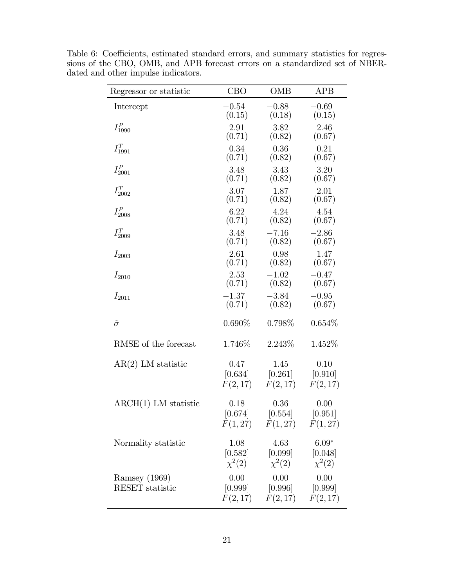| Regressor or statistic                  | <b>CBO</b>        | <b>OMB</b>                                                             | <b>APB</b>             |
|-----------------------------------------|-------------------|------------------------------------------------------------------------|------------------------|
| Intercept                               | $-0.54$           | $-0.88$                                                                | $-0.69$                |
|                                         | (0.15)            | (0.18)                                                                 | (0.15)                 |
| $I_{1990}^P$                            | 2.91              | 3.82                                                                   | 2.46                   |
|                                         | (0.71)            | (0.82)                                                                 | (0.67)                 |
| $I_{1991}^T$                            | 0.34              | 0.36                                                                   | 0.21                   |
|                                         | (0.71)            | (0.82)                                                                 | (0.67)                 |
| $I^P_{2001}$                            | 3.48              | 3.43                                                                   | 3.20                   |
|                                         | (0.71)            | (0.82)                                                                 | (0.67)                 |
| $I^T_{2002}$                            | 3.07              | 1.87                                                                   | 2.01                   |
|                                         | (0.71)            | (0.82)                                                                 | (0.67)                 |
| $I_{2008}^P$                            | 6.22              | 4.24                                                                   | 4.54                   |
|                                         | (0.71)            | (0.82)                                                                 | (0.67)                 |
| $I^T_{2009}$                            | 3.48              | $-7.16$                                                                | $-2.86$                |
|                                         | (0.71)            | (0.82)                                                                 | (0.67)                 |
| $I_{2003}$                              | 2.61              | 0.98                                                                   | 1.47                   |
|                                         | (0.71)            | (0.82)                                                                 | (0.67)                 |
| $I_{2010}$                              | 2.53              | $-1.02$                                                                | $-0.47$                |
|                                         | (0.71)            | (0.82)                                                                 | (0.67)                 |
| $I_{2011}$                              | $-1.37$           | $-3.84$                                                                | $-0.95$                |
|                                         | (0.71)            | (0.82)                                                                 | (0.67)                 |
| $\hat{\sigma}$                          | $0.690\%$         | $0.798\%$                                                              | $0.654\%$              |
| RMSE of the forecast                    | 1.746\%           | 2.243\%                                                                | 1.452\%                |
| $AR(2)$ LM statistic                    | 0.47              | 1.45                                                                   | 0.10                   |
|                                         | [0.634]           | $[0.261]$                                                              | [0.910]                |
|                                         | F(2,17)           | F(2,17)                                                                | F(2, 17)               |
| $\text{ARCH}(1)$ LM statistic           | 0.18<br>[0.674]   | 0.36<br>[0.554]<br>$F(1,27)$ $F(1,27)$ $F(1,27)$                       | 0.00<br>[0.951]        |
| Normality statistic                     | 1.08<br>$[0.582]$ | 4.63<br>$[0.099]$ $[0.048]$<br>$\chi^2(2) \qquad \chi^2(2)$            | $6.09*$<br>$\chi^2(2)$ |
| Ramsey (1969)<br><b>RESET</b> statistic | 0.00              | 0.00<br>$[0.999]$ $[0.996]$ $[0.999]$<br>$F(2,17)$ $F(2,17)$ $F(2,17)$ | 0.00                   |

Table 6: Coefficients, estimated standard errors, and summary statistics for regressions of the CBO, OMB, and APB forecast errors on a standardized set of NBERdated and other impulse indicators.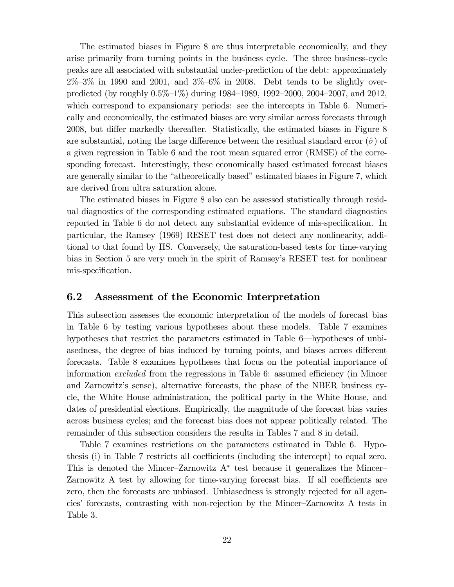The estimated biases in Figure 8 are thus interpretable economically, and they arise primarily from turning points in the business cycle. The three business-cycle peaks are all associated with substantial under-prediction of the debt: approximately  $2\% - 3\%$  in 1990 and 2001, and  $3\% - 6\%$  in 2008. Debt tends to be slightly overpredicted (by roughly  $0.5\%$ -1%) during 1984–1989, 1992–2000, 2004–2007, and 2012, which correspond to expansionary periods: see the intercepts in Table 6. Numerically and economically, the estimated biases are very similar across forecasts through 2008, but differ markedly thereafter. Statistically, the estimated biases in Figure 8 are substantial, noting the large difference between the residual standard error  $(\hat{\sigma})$  of a given regression in Table 6 and the root mean squared error (RMSE) of the corresponding forecast. Interestingly, these economically based estimated forecast biases are generally similar to the "atheoretically based" estimated biases in Figure 7, which are derived from ultra saturation alone.

The estimated biases in Figure 8 also can be assessed statistically through residual diagnostics of the corresponding estimated equations. The standard diagnostics reported in Table 6 do not detect any substantial evidence of mis-specification. In particular, the Ramsey (1969) RESET test does not detect any nonlinearity, additional to that found by IIS. Conversely, the saturation-based tests for time-varying bias in Section 5 are very much in the spirit of Ramsey's RESET test for nonlinear mis-specification.

#### 6.2 Assessment of the Economic Interpretation

This subsection assesses the economic interpretation of the models of forecast bias in Table 6 by testing various hypotheses about these models. Table 7 examines hypotheses that restrict the parameters estimated in Table 6–hypotheses of unbiasedness, the degree of bias induced by turning points, and biases across different forecasts. Table 8 examines hypotheses that focus on the potential importance of information *excluded* from the regressions in Table 6: assumed efficiency (in Mincer and Zarnowitz's sense), alternative forecasts, the phase of the NBER business cycle, the White House administration, the political party in the White House, and dates of presidential elections. Empirically, the magnitude of the forecast bias varies across business cycles; and the forecast bias does not appear politically related. The remainder of this subsection considers the results in Tables 7 and 8 in detail.

Table 7 examines restrictions on the parameters estimated in Table 6. Hypothesis (i) in Table 7 restricts all coefficients (including the intercept) to equal zero. This is denoted the Mincer-Zarnowitz  $A^*$  test because it generalizes the Mincer-Zarnowitz A test by allowing for time-varying forecast bias. If all coefficients are zero, then the forecasts are unbiased. Unbiasedness is strongly rejected for all agencies' forecasts, contrasting with non-rejection by the Mincer—Zarnowitz A tests in Table 3.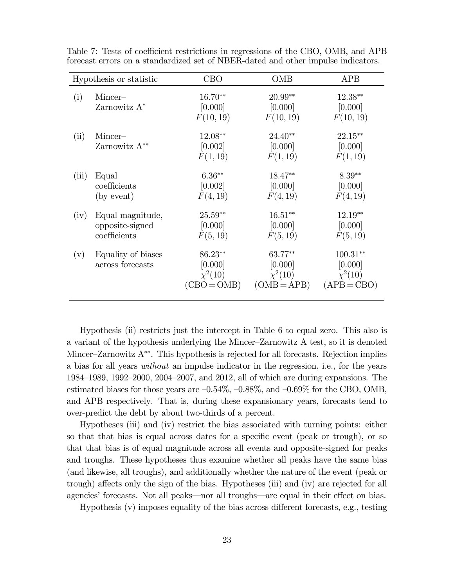|       | Hypothesis or statistic                             | <b>CBO</b>                                          | OMB                                                 | <b>APB</b>                                             |
|-------|-----------------------------------------------------|-----------------------------------------------------|-----------------------------------------------------|--------------------------------------------------------|
| (i)   | Mincer-<br>Zarnowitz $A^*$                          | $16.70**$<br>[0.000]<br>F(10, 19)                   | $20.99**$<br>[0.000]<br>F(10, 19)                   | 12.38**<br>[0.000]<br>F(10, 19)                        |
| (ii)  | Mincer-<br>Zarnowitz $A^{**}$                       | 12.08**<br>[0.002]<br>F(1, 19)                      | $24.40**$<br>[0.000]<br>F(1, 19)                    | 22.15**<br>[0.000]<br>F(1, 19)                         |
| (iii) | Equal<br>coefficients<br>(by event)                 | $6.36**$<br>[0.002]<br>F(4, 19)                     | 18.47**<br>[0.000]<br>F(4, 19)                      | $8.39**$<br>[0.000]<br>F(4, 19)                        |
| (iv)  | Equal magnitude,<br>opposite-signed<br>coefficients | $25.59**$<br>[0.000]<br>F(5, 19)                    | $16.51**$<br>[0.000]<br>F(5, 19)                    | 12.19**<br>[0.000]<br>F(5, 19)                         |
| (v)   | Equality of biases<br>across forecasts              | 86.23**<br>[0.000]<br>$\chi^2(10)$<br>$(CBO = OMB)$ | 63.77**<br>[0.000]<br>$\chi^2(10)$<br>$(OMB = APB)$ | $100.31**$<br>[0.000]<br>$\chi^2(10)$<br>$(APB = CBO)$ |

Table 7: Tests of coefficient restrictions in regressions of the CBO, OMB, and APB forecast errors on a standardized set of NBER-dated and other impulse indicators.

Hypothesis (ii) restricts just the intercept in Table 6 to equal zero. This also is a variant of the hypothesis underlying the Mincer—Zarnowitz A test, so it is denoted Mincer—Zarnowitz A∗∗. This hypothesis is rejected for all forecasts. Rejection implies a bias for all years without an impulse indicator in the regression, i.e., for the years 1984—1989, 1992—2000, 2004—2007, and 2012, all of which are during expansions. The estimated biases for those years are  $-0.54\%$ ,  $-0.88\%$ , and  $-0.69\%$  for the CBO, OMB, and APB respectively. That is, during these expansionary years, forecasts tend to over-predict the debt by about two-thirds of a percent.

Hypotheses (iii) and (iv) restrict the bias associated with turning points: either so that that bias is equal across dates for a specific event (peak or trough), or so that that bias is of equal magnitude across all events and opposite-signed for peaks and troughs. These hypotheses thus examine whether all peaks have the same bias (and likewise, all troughs), and additionally whether the nature of the event (peak or trough) affects only the sign of the bias. Hypotheses (iii) and (iv) are rejected for all agencies' forecasts. Not all peaks–nor all troughs–are equal in their effect on bias.

Hypothesis (v) imposes equality of the bias across different forecasts, e.g., testing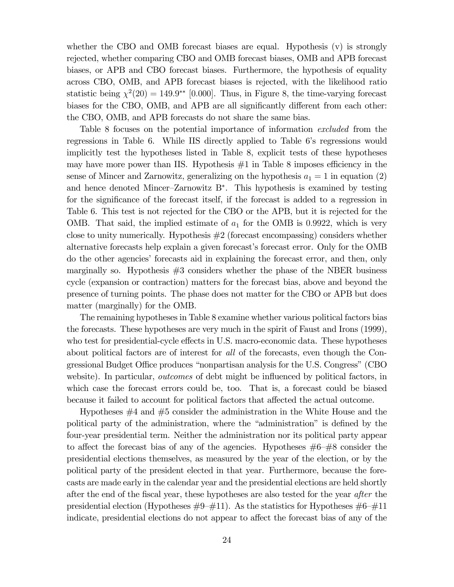whether the CBO and OMB forecast biases are equal. Hypothesis (v) is strongly rejected, whether comparing CBO and OMB forecast biases, OMB and APB forecast biases, or APB and CBO forecast biases. Furthermore, the hypothesis of equality across CBO, OMB, and APB forecast biases is rejected, with the likelihood ratio statistic being  $\chi^2(20) = 149.9^{**}$  [0.000]. Thus, in Figure 8, the time-varying forecast biases for the CBO, OMB, and APB are all significantly different from each other: the CBO, OMB, and APB forecasts do not share the same bias.

Table 8 focuses on the potential importance of information excluded from the regressions in Table 6. While IIS directly applied to Table 6's regressions would implicitly test the hypotheses listed in Table 8, explicit tests of these hypotheses may have more power than IIS. Hypothesis #1 in Table 8 imposes efficiency in the sense of Mincer and Zarnowitz, generalizing on the hypothesis  $a_1 = 1$  in equation (2) and hence denoted Mincer—Zarnowitz B∗. This hypothesis is examined by testing for the significance of the forecast itself, if the forecast is added to a regression in Table 6. This test is not rejected for the CBO or the APB, but it is rejected for the OMB. That said, the implied estimate of  $a_1$  for the OMB is 0.9922, which is very close to unity numerically. Hypothesis #2 (forecast encompassing) considers whether alternative forecasts help explain a given forecast's forecast error. Only for the OMB do the other agencies' forecasts aid in explaining the forecast error, and then, only marginally so. Hypothesis  $#3$  considers whether the phase of the NBER business cycle (expansion or contraction) matters for the forecast bias, above and beyond the presence of turning points. The phase does not matter for the CBO or APB but does matter (marginally) for the OMB.

The remaining hypotheses in Table 8 examine whether various political factors bias the forecasts. These hypotheses are very much in the spirit of Faust and Irons (1999), who test for presidential-cycle effects in U.S. macro-economic data. These hypotheses about political factors are of interest for all of the forecasts, even though the Congressional Budget Office produces "nonpartisan analysis for the U.S. Congress" (CBO website). In particular, *outcomes* of debt might be influenced by political factors, in which case the forecast errors could be, too. That is, a forecast could be biased because it failed to account for political factors that affected the actual outcome.

Hypotheses #4 and #5 consider the administration in the White House and the political party of the administration, where the "administration" is defined by the four-year presidential term. Neither the administration nor its political party appear to affect the forecast bias of any of the agencies. Hypotheses  $\#6-\#8$  consider the presidential elections themselves, as measured by the year of the election, or by the political party of the president elected in that year. Furthermore, because the forecasts are made early in the calendar year and the presidential elections are held shortly after the end of the fiscal year, these hypotheses are also tested for the year after the presidential election (Hypotheses  $\#9-\#11$ ). As the statistics for Hypotheses  $\#6-\#11$ indicate, presidential elections do not appear to affect the forecast bias of any of the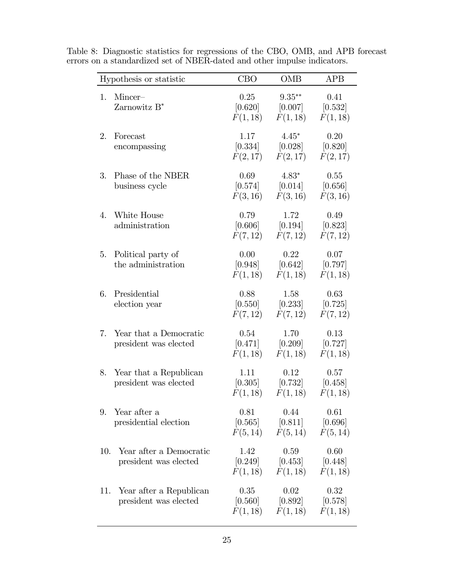| Hypothesis or statistic                                 | <b>CBO</b>                  | <b>OMB</b>                                                                | <b>APB</b>                  |
|---------------------------------------------------------|-----------------------------|---------------------------------------------------------------------------|-----------------------------|
| Mincer-<br>1.<br>Zarnowitz $B^*$                        | 0.25                        | $9.35***$<br>$[0.620]$ $[0.007]$<br>$F(1, 18)$ $F(1, 18)$                 | 0.41<br>[0.532]<br>F(1, 18) |
| 2.<br>Forecast<br>encompassing                          | 1.17<br>F(2,17)             | $4.45*$<br>$[0.334]$ $[0.028]$ $[0.820]$<br>F(2,17)                       | 0.20<br>F(2, 17)            |
| Phase of the NBER<br>3.<br>business cycle               | 0.69<br>F(3, 16)            | $4.83*$<br>$[0.574]$ $[0.014]$ $[0.656]$<br>F(3,16)                       | 0.55<br>F(3, 16)            |
| White House<br>4.<br>administration                     | 0.79                        | 1.72<br>$[0.606]$ $[0.194]$ $[0.823]$<br>$F(7,12)$ $F(7,12)$ $F(7,12)$    | 0.49                        |
| Political party of<br>5.<br>the administration          | 0.00<br>[0.948]<br>F(1, 18) | 0.22<br>[0.642]<br>$F(1,18)$ $F(1,18)$                                    | 0.07<br>$[0.797]$           |
| Presidential<br>6.<br>election year                     | 0.88                        | 1.58<br>$[0.550]$ $[0.233]$ $[0.725]$<br>$F(7,12)$ $F(7,12)$              | 0.63<br>F(7,12)             |
| 7. Year that a Democratic<br>president was elected      | 0.54                        | 1.70<br>$[0.471]$ $[0.209]$ $[0.727]$<br>$F(1,18)$ $F(1,18)$              | 0.13<br>F(1, 18)            |
| 8. Year that a Republican<br>president was elected      | 1.11                        | 0.12<br>$[0.305]$ $[0.732]$ $[0.458]$<br>$F(1,18)$ $F(1,18)$ $F(1,18)$    | 0.57                        |
| Year after a<br>9.<br>presidential election             | 0.81                        | 0.44<br>$[0.565]$ $[0.811]$ $[0.696]$<br>$F(5, 14)$ $F(5, 14)$ $F(5, 14)$ | 0.61                        |
| Year after a Democratic<br>10.<br>president was elected | 1.42                        | 0.59<br>$[0.249]$ $[0.453]$ $[0.448]$<br>$F(1,18)$ $F(1,18)$ $F(1,18)$    | 0.60                        |
| Year after a Republican<br>11.<br>president was elected | 0.35                        | 0.02<br>$[0.560]$ $[0.892]$ $[0.578]$<br>$F(1,18)$ $F(1,18)$ $F(1,18)$    | 0.32                        |

Table 8: Diagnostic statistics for regressions of the CBO, OMB, and APB forecast errors on a standardized set of NBER-dated and other impulse indicators.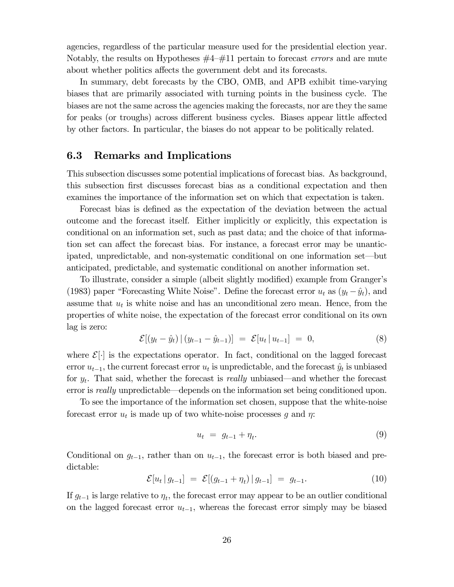agencies, regardless of the particular measure used for the presidential election year. Notably, the results on Hypotheses  $#4-\#11$  pertain to forecast *errors* and are mute about whether politics affects the government debt and its forecasts.

In summary, debt forecasts by the CBO, OMB, and APB exhibit time-varying biases that are primarily associated with turning points in the business cycle. The biases are not the same across the agencies making the forecasts, nor are they the same for peaks (or troughs) across different business cycles. Biases appear little affected by other factors. In particular, the biases do not appear to be politically related.

#### 6.3 Remarks and Implications

This subsection discusses some potential implications of forecast bias. As background, this subsection first discusses forecast bias as a conditional expectation and then examines the importance of the information set on which that expectation is taken.

Forecast bias is defined as the expectation of the deviation between the actual outcome and the forecast itself. Either implicitly or explicitly, this expectation is conditional on an information set, such as past data; and the choice of that information set can affect the forecast bias. For instance, a forecast error may be unanticipated, unpredictable, and non-systematic conditional on one information set–but anticipated, predictable, and systematic conditional on another information set.

To illustrate, consider a simple (albeit slightly modified) example from Granger's (1983) paper "Forecasting White Noise". Define the forecast error  $u_t$  as  $(y_t - \hat{y}_t)$ , and assume that  $u_t$  is white noise and has an unconditional zero mean. Hence, from the properties of white noise, the expectation of the forecast error conditional on its own lag is zero:

$$
\mathcal{E}[(y_t - \hat{y}_t) | (y_{t-1} - \hat{y}_{t-1})] = \mathcal{E}[u_t | u_{t-1}] = 0,
$$
\n(8)

where  $\mathcal{E}[\cdot]$  is the expectations operator. In fact, conditional on the lagged forecast error  $u_{t-1}$ , the current forecast error  $u_t$  is unpredictable, and the forecast  $\hat{y}_t$  is unbiased for  $y_t$ . That said, whether the forecast is *really* unbiased—and whether the forecast error is *really* unpredictable—depends on the information set being conditioned upon.

To see the importance of the information set chosen, suppose that the white-noise forecast error  $u_t$  is made up of two white-noise processes g and  $\eta$ :

$$
u_t = g_{t-1} + \eta_t. \tag{9}
$$

Conditional on  $g_{t-1}$ , rather than on  $u_{t-1}$ , the forecast error is both biased and predictable:

$$
\mathcal{E}[u_t | g_{t-1}] = \mathcal{E}[(g_{t-1} + \eta_t) | g_{t-1}] = g_{t-1}.
$$
 (10)

If  $g_{t-1}$  is large relative to  $\eta_t$ , the forecast error may appear to be an outlier conditional on the lagged forecast error  $u_{t-1}$ , whereas the forecast error simply may be biased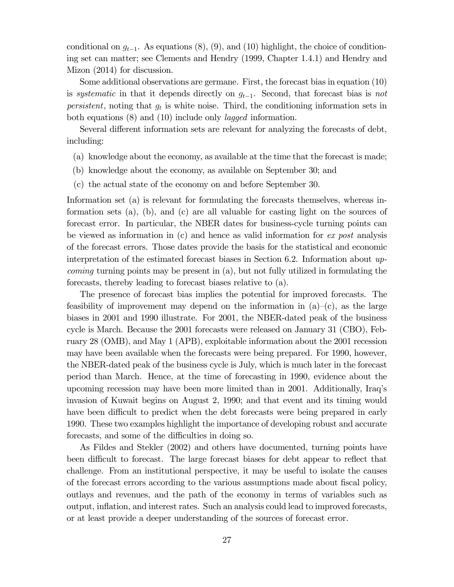conditional on  $g_{t-1}$ . As equations (8), (9), and (10) highlight, the choice of conditioning set can matter; see Clements and Hendry (1999, Chapter 1.4.1) and Hendry and Mizon (2014) for discussion.

Some additional observations are germane. First, the forecast bias in equation (10) is systematic in that it depends directly on  $g_{t-1}$ . Second, that forecast bias is not *persistent*, noting that  $g_t$  is white noise. Third, the conditioning information sets in both equations (8) and (10) include only *lagged* information.

Several different information sets are relevant for analyzing the forecasts of debt, including:

- (a) knowledge about the economy, as available at the time that the forecast is made;
- (b) knowledge about the economy, as available on September 30; and
- (c) the actual state of the economy on and before September 30.

Information set (a) is relevant for formulating the forecasts themselves, whereas information sets (a), (b), and (c) are all valuable for casting light on the sources of forecast error. In particular, the NBER dates for business-cycle turning points can be viewed as information in  $(c)$  and hence as valid information for *ex post* analysis of the forecast errors. Those dates provide the basis for the statistical and economic interpretation of the estimated forecast biases in Section 6.2. Information about upcoming turning points may be present in (a), but not fully utilized in formulating the forecasts, thereby leading to forecast biases relative to (a).

The presence of forecast bias implies the potential for improved forecasts. The feasibility of improvement may depend on the information in  $(a)$ – $(c)$ , as the large biases in 2001 and 1990 illustrate. For 2001, the NBER-dated peak of the business cycle is March. Because the 2001 forecasts were released on January 31 (CBO), February 28 (OMB), and May 1 (APB), exploitable information about the 2001 recession may have been available when the forecasts were being prepared. For 1990, however, the NBER-dated peak of the business cycle is July, which is much later in the forecast period than March. Hence, at the time of forecasting in 1990, evidence about the upcoming recession may have been more limited than in 2001. Additionally, Iraq's invasion of Kuwait begins on August 2, 1990; and that event and its timing would have been difficult to predict when the debt forecasts were being prepared in early 1990. These two examples highlight the importance of developing robust and accurate forecasts, and some of the difficulties in doing so.

As Fildes and Stekler (2002) and others have documented, turning points have been difficult to forecast. The large forecast biases for debt appear to reflect that challenge. From an institutional perspective, it may be useful to isolate the causes of the forecast errors according to the various assumptions made about fiscal policy, outlays and revenues, and the path of the economy in terms of variables such as output, inflation, and interest rates. Such an analysis could lead to improved forecasts, or at least provide a deeper understanding of the sources of forecast error.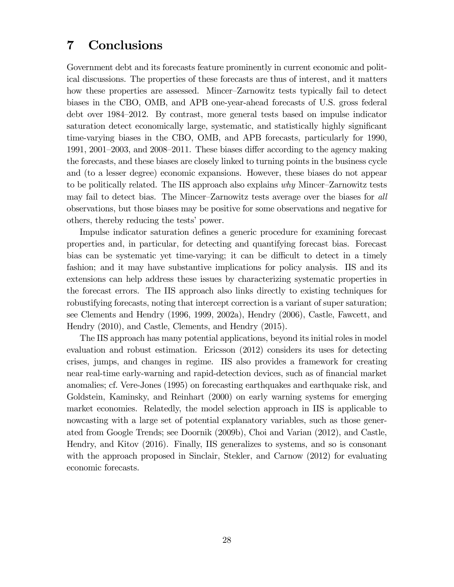## 7 Conclusions

Government debt and its forecasts feature prominently in current economic and political discussions. The properties of these forecasts are thus of interest, and it matters how these properties are assessed. Mincer—Zarnowitz tests typically fail to detect biases in the CBO, OMB, and APB one-year-ahead forecasts of U.S. gross federal debt over 1984—2012. By contrast, more general tests based on impulse indicator saturation detect economically large, systematic, and statistically highly significant time-varying biases in the CBO, OMB, and APB forecasts, particularly for 1990, 1991, 2001—2003, and 2008—2011. These biases differ according to the agency making the forecasts, and these biases are closely linked to turning points in the business cycle and (to a lesser degree) economic expansions. However, these biases do not appear to be politically related. The IIS approach also explains why Mincer—Zarnowitz tests may fail to detect bias. The Mincer—Zarnowitz tests average over the biases for all observations, but those biases may be positive for some observations and negative for others, thereby reducing the tests' power.

Impulse indicator saturation defines a generic procedure for examining forecast properties and, in particular, for detecting and quantifying forecast bias. Forecast bias can be systematic yet time-varying; it can be difficult to detect in a timely fashion; and it may have substantive implications for policy analysis. IIS and its extensions can help address these issues by characterizing systematic properties in the forecast errors. The IIS approach also links directly to existing techniques for robustifying forecasts, noting that intercept correction is a variant of super saturation; see Clements and Hendry (1996, 1999, 2002a), Hendry (2006), Castle, Fawcett, and Hendry (2010), and Castle, Clements, and Hendry (2015).

The IIS approach has many potential applications, beyond its initial roles in model evaluation and robust estimation. Ericsson (2012) considers its uses for detecting crises, jumps, and changes in regime. IIS also provides a framework for creating near real-time early-warning and rapid-detection devices, such as of financial market anomalies; cf. Vere-Jones (1995) on forecasting earthquakes and earthquake risk, and Goldstein, Kaminsky, and Reinhart (2000) on early warning systems for emerging market economies. Relatedly, the model selection approach in IIS is applicable to nowcasting with a large set of potential explanatory variables, such as those generated from Google Trends; see Doornik (2009b), Choi and Varian (2012), and Castle, Hendry, and Kitov (2016). Finally, IIS generalizes to systems, and so is consonant with the approach proposed in Sinclair, Stekler, and Carnow (2012) for evaluating economic forecasts.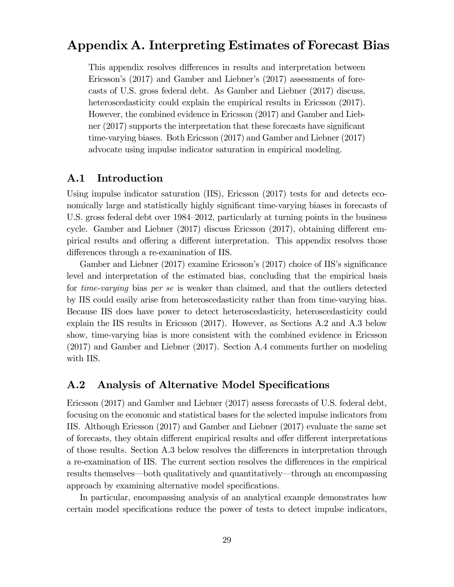### Appendix A. Interpreting Estimates of Forecast Bias

This appendix resolves differences in results and interpretation between Ericsson's (2017) and Gamber and Liebner's (2017) assessments of forecasts of U.S. gross federal debt. As Gamber and Liebner (2017) discuss, heteroscedasticity could explain the empirical results in Ericsson  $(2017)$ . However, the combined evidence in Ericsson (2017) and Gamber and Liebner (2017) supports the interpretation that these forecasts have significant time-varying biases. Both Ericsson (2017) and Gamber and Liebner (2017) advocate using impulse indicator saturation in empirical modeling.

#### A.1 Introduction

Using impulse indicator saturation (IIS), Ericsson (2017) tests for and detects economically large and statistically highly significant time-varying biases in forecasts of U.S. gross federal debt over 1984—2012, particularly at turning points in the business cycle. Gamber and Liebner (2017) discuss Ericsson (2017), obtaining different empirical results and offering a different interpretation. This appendix resolves those differences through a re-examination of IIS.

Gamber and Liebner (2017) examine Ericsson's (2017) choice of IIS's significance level and interpretation of the estimated bias, concluding that the empirical basis for *time-varying* bias *per se* is weaker than claimed, and that the outliers detected by IIS could easily arise from heteroscedasticity rather than from time-varying bias. Because IIS does have power to detect heteroscedasticity, heteroscedasticity could explain the IIS results in Ericsson (2017). However, as Sections A.2 and A.3 below show, time-varying bias is more consistent with the combined evidence in Ericsson (2017) and Gamber and Liebner (2017). Section A.4 comments further on modeling with IIS.

#### A.2 Analysis of Alternative Model Specifications

Ericsson (2017) and Gamber and Liebner (2017) assess forecasts of U.S. federal debt, focusing on the economic and statistical bases for the selected impulse indicators from IIS. Although Ericsson (2017) and Gamber and Liebner (2017) evaluate the same set of forecasts, they obtain different empirical results and offer different interpretations of those results. Section A.3 below resolves the differences in interpretation through a re-examination of IIS. The current section resolves the differences in the empirical results themselves–both qualitatively and quantitatively–through an encompassing approach by examining alternative model specifications.

In particular, encompassing analysis of an analytical example demonstrates how certain model specifications reduce the power of tests to detect impulse indicators,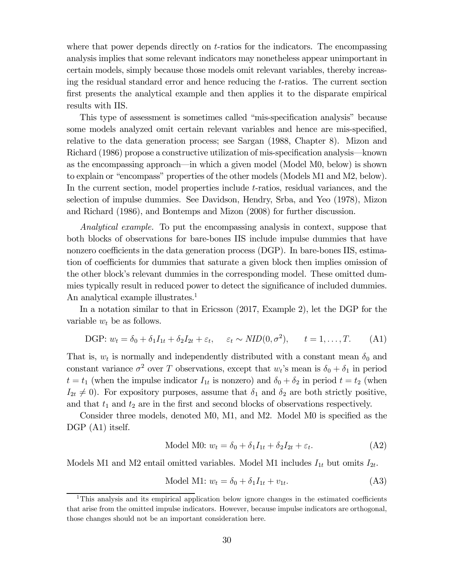where that power depends directly on  $t$ -ratios for the indicators. The encompassing analysis implies that some relevant indicators may nonetheless appear unimportant in certain models, simply because those models omit relevant variables, thereby increasing the residual standard error and hence reducing the  $t$ -ratios. The current section first presents the analytical example and then applies it to the disparate empirical results with IIS.

This type of assessment is sometimes called "mis-specification analysis" because some models analyzed omit certain relevant variables and hence are mis-specified, relative to the data generation process; see Sargan (1988, Chapter 8). Mizon and Richard (1986) propose a constructive utilization of mis-specification analysis–known as the encompassing approach–in which a given model (Model M0, below) is shown to explain or "encompass" properties of the other models (Models M1 and M2, below). In the current section, model properties include  $t$ -ratios, residual variances, and the selection of impulse dummies. See Davidson, Hendry, Srba, and Yeo (1978), Mizon and Richard (1986), and Bontemps and Mizon (2008) for further discussion.

Analytical example. To put the encompassing analysis in context, suppose that both blocks of observations for bare-bones IIS include impulse dummies that have nonzero coefficients in the data generation process (DGP). In bare-bones IIS, estimation of coefficients for dummies that saturate a given block then implies omission of the other block's relevant dummies in the corresponding model. These omitted dummies typically result in reduced power to detect the significance of included dummies. An analytical example illustrates.<sup>1</sup>

In a notation similar to that in Ericsson (2017, Example 2), let the DGP for the variable  $w_t$  be as follows.

DGP: 
$$
w_t = \delta_0 + \delta_1 I_{1t} + \delta_2 I_{2t} + \varepsilon_t
$$
,  $\varepsilon_t \sim NID(0, \sigma^2)$ ,  $t = 1, ..., T$ . (A1)

That is,  $w_t$  is normally and independently distributed with a constant mean  $\delta_0$  and constant variance  $\sigma^2$  over T observations, except that  $w_t$ 's mean is  $\delta_0 + \delta_1$  in period  $t = t_1$  (when the impulse indicator  $I_{1t}$  is nonzero) and  $\delta_0 + \delta_2$  in period  $t = t_2$  (when  $I_{2t} \neq 0$ . For expository purposes, assume that  $\delta_1$  and  $\delta_2$  are both strictly positive, and that  $t_1$  and  $t_2$  are in the first and second blocks of observations respectively.

Consider three models, denoted M0, M1, and M2. Model M0 is specified as the DGP  $(A1)$  itself.

$$
\text{Model M0: } w_t = \delta_0 + \delta_1 I_{1t} + \delta_2 I_{2t} + \varepsilon_t. \tag{A2}
$$

Models M1 and M2 entail omitted variables. Model M1 includes  $I_{1t}$  but omits  $I_{2t}$ .

Model M1: 
$$
w_t = \delta_0 + \delta_1 I_{1t} + v_{1t}
$$
. (A3)

<sup>1</sup>This analysis and its empirical application below ignore changes in the estimated coefficients that arise from the omitted impulse indicators. However, because impulse indicators are orthogonal, those changes should not be an important consideration here.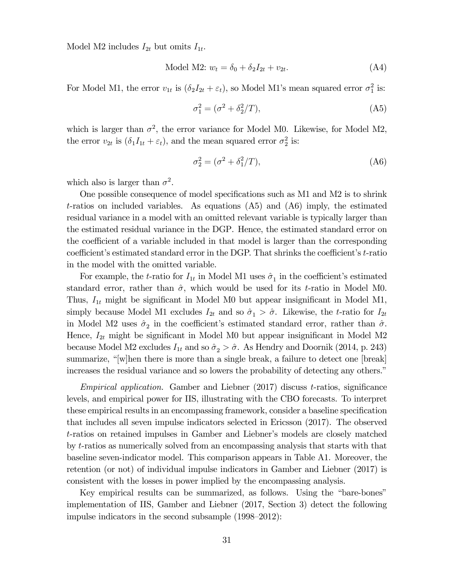Model M2 includes  $I_{2t}$  but omits  $I_{1t}$ .

Model M2: 
$$
w_t = \delta_0 + \delta_2 I_{2t} + v_{2t}
$$
. (A4)

For Model M1, the error  $v_{1t}$  is  $(\delta_2 I_{2t} + \varepsilon_t)$ , so Model M1's mean squared error  $\sigma_1^2$  is:

$$
\sigma_1^2 = (\sigma^2 + \delta_2^2 / T), \tag{A5}
$$

which is larger than  $\sigma^2$ , the error variance for Model M0. Likewise, for Model M2, the error  $v_{2t}$  is  $(\delta_1 I_{1t} + \varepsilon_t)$ , and the mean squared error  $\sigma_2^2$  is:

$$
\sigma_2^2 = (\sigma^2 + \delta_1^2/T),\tag{A6}
$$

which also is larger than  $\sigma^2$ .

One possible consequence of model specifications such as M1 and M2 is to shrink t-ratios on included variables. As equations  $(A5)$  and  $(A6)$  imply, the estimated residual variance in a model with an omitted relevant variable is typically larger than the estimated residual variance in the DGP. Hence, the estimated standard error on the coefficient of a variable included in that model is larger than the corresponding coefficient's estimated standard error in the DGP. That shrinks the coefficient's  $t$ -ratio in the model with the omitted variable.

For example, the t-ratio for  $I_{1t}$  in Model M1 uses  $\hat{\sigma}_1$  in the coefficient's estimated standard error, rather than  $\hat{\sigma}$ , which would be used for its t-ratio in Model M0. Thus,  $I_{1t}$  might be significant in Model M0 but appear insignificant in Model M1, simply because Model M1 excludes  $I_{2t}$  and so  $\hat{\sigma}_1 > \hat{\sigma}$ . Likewise, the t-ratio for  $I_{2t}$ in Model M2 uses  $\hat{\sigma}_2$  in the coefficient's estimated standard error, rather than  $\hat{\sigma}$ . Hence,  $I_{2t}$  might be significant in Model M0 but appear insignificant in Model M2 because Model M2 excludes  $I_{1t}$  and so  $\hat{\sigma}_2 > \hat{\sigma}$ . As Hendry and Doornik (2014, p. 243) summarize, "[w]hen there is more than a single break, a failure to detect one [break] increases the residual variance and so lowers the probability of detecting any others."

*Empirical application.* Gamber and Liebner  $(2017)$  discuss t-ratios, significance levels, and empirical power for IIS, illustrating with the CBO forecasts. To interpret these empirical results in an encompassing framework, consider a baseline specification that includes all seven impulse indicators selected in Ericsson (2017). The observed t-ratios on retained impulses in Gamber and Liebner's models are closely matched by  $t$ -ratios as numerically solved from an encompassing analysis that starts with that baseline seven-indicator model. This comparison appears in Table A1. Moreover, the retention (or not) of individual impulse indicators in Gamber and Liebner (2017) is consistent with the losses in power implied by the encompassing analysis.

Key empirical results can be summarized, as follows. Using the "bare-bones" implementation of IIS, Gamber and Liebner (2017, Section 3) detect the following impulse indicators in the second subsample (1998—2012):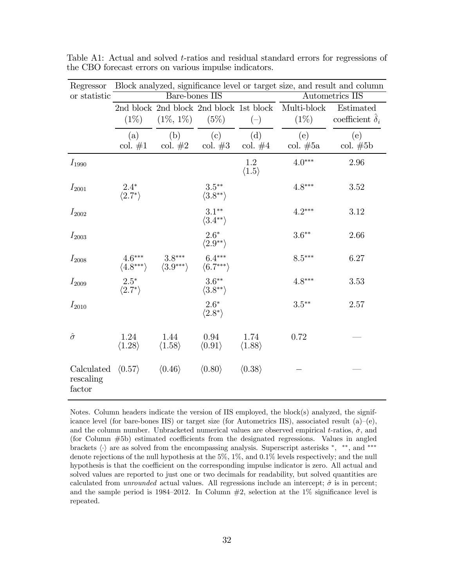| Regressor                         |                                      |                                     |                                         |                                |                   | Block analyzed, significance level or target size, and result and column |
|-----------------------------------|--------------------------------------|-------------------------------------|-----------------------------------------|--------------------------------|-------------------|--------------------------------------------------------------------------|
| or statistic                      |                                      | Bare-bones IIS                      |                                         |                                |                   | Autometrics IIS                                                          |
|                                   |                                      |                                     | 2nd block 2nd block 2nd block 1st block |                                | Multi-block       | Estimated                                                                |
|                                   | $(1\%)$                              | $(1\%, 1\%)$                        | (5%)                                    | $(-)$                          | $(1\%)$           | coefficient $\delta_i$                                                   |
|                                   | (a)<br>col. $#1$                     | (b)<br>col. $\#2$ col. $\#3$        | $\left( \mathrm{c}\right)$              | (d)<br>col. $#4$               | (e)<br>col. $#5a$ | (e)<br>$\text{col.}\ \#5b$                                               |
| $I_{1990}$                        |                                      |                                     |                                         | 1.2<br>$\langle 1.5 \rangle$   | $4.0***$          | 2.96                                                                     |
| $I_{2001}$                        | $2.4*$<br>$\langle 2.7^* \rangle$    |                                     | $3.5***$<br>$\langle 3.8^{**} \rangle$  |                                | $4.8***$          | 3.52                                                                     |
| $I_{2002}$                        |                                      |                                     | $3.1***$<br>$\langle 3.4^{**} \rangle$  |                                | $4.2***$          | 3.12                                                                     |
| $I_{2003}$                        |                                      |                                     | $2.6*$<br>$\langle 2.9^{**} \rangle$    |                                | $3.6**$           | 2.66                                                                     |
| $I_{2008}$                        | $4.6***$<br>$\langle 4.8*** \rangle$ | $3.8***$<br>$\langle 3.9***\rangle$ | $6.4***$<br>$\langle 6.7***\rangle$     |                                | $8.5***$          | 6.27                                                                     |
| $I_{2009}$                        | $2.5*$<br>$\langle 2.7^* \rangle$    |                                     | $3.6***$<br>$\langle 3.8^{**} \rangle$  |                                | $4.8***$          | 3.53                                                                     |
| $I_{2010}$                        |                                      |                                     | $2.6*$<br>$\langle 2.8^* \rangle$       |                                | $3.5***$          | 2.57                                                                     |
| $\hat{\sigma}$                    | 1.24<br>$\langle 1.28 \rangle$       | 1.44<br>$\langle 1.58 \rangle$      | 0.94<br>$\langle 0.91 \rangle$          | 1.74<br>$\langle 1.88 \rangle$ | 0.72              |                                                                          |
| Calculated<br>rescaling<br>factor | $\langle 0.57 \rangle$               | $\langle 0.46 \rangle$              | $\langle 0.80 \rangle$                  | $\langle 0.38 \rangle$         |                   |                                                                          |

Table A1: Actual and solved t-ratios and residual standard errors for regressions of the CBO forecast errors on various impulse indicators.

Notes. Column headers indicate the version of IIS employed, the block(s) analyzed, the significance level (for bare-bones IIS) or target size (for Autometrics IIS), associated result  $(a)-(e)$ , and the column number. Unbracketed numerical values are observed empirical t-ratios,  $\hat{\sigma}$ , and (for Column #5b) estimated coefficients from the designated regressions. Values in angled brackets  $\langle \cdot \rangle$  are as solved from the encompassing analysis. Superscript asterisks  $*$ ,  $**$ , and  $***$ denote rejections of the null hypothesis at the  $5\%$ ,  $1\%$ , and  $0.1\%$  levels respectively; and the null hypothesis is that the coefficient on the corresponding impulse indicator is zero. All actual and solved values are reported to just one or two decimals for readability, but solved quantities are calculated from *unrounded* actual values. All regressions include an intercept;  $\hat{\sigma}$  is in percent; and the sample period is  $1984-2012$ . In Column  $#2$ , selection at the  $1\%$  significance level is repeated.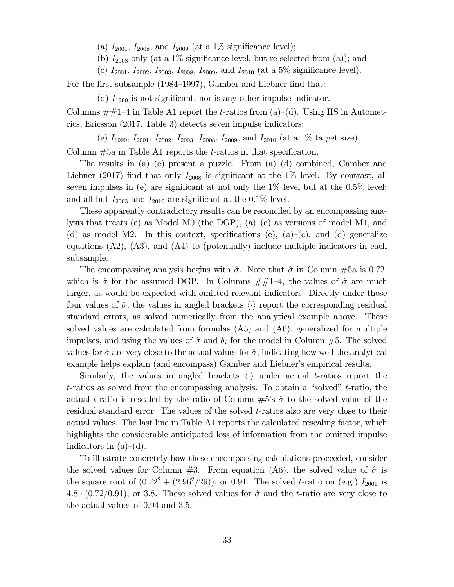(a)  $I_{2001}$ ,  $I_{2008}$ , and  $I_{2009}$  (at a 1% significance level);

(b)  $I_{2008}$  only (at a 1% significance level, but re-selected from (a)); and

(c)  $I_{2001}$ ,  $I_{2002}$ ,  $I_{2003}$ ,  $I_{2008}$ ,  $I_{2009}$ , and  $I_{2010}$  (at a 5% significance level).

For the first subsample (1984—1997), Gamber and Liebner find that:

(d)  $I_{1990}$  is not significant, nor is any other impulse indicator.

Columns  $\#\#1-4$  in Table A1 report the t-ratios from (a)–(d). Using IIS in Autometrics, Ericsson (2017, Table 3) detects seven impulse indicators:

(e)  $I_{1990}$ ,  $I_{2001}$ ,  $I_{2002}$ ,  $I_{2003}$ ,  $I_{2008}$ ,  $I_{2009}$ , and  $I_{2010}$  (at a 1% target size).

Column  $#5a$  in Table A1 reports the *t*-ratios in that specification.

The results in  $(a)$ – $(e)$  present a puzzle. From  $(a)$ – $(d)$  combined, Gamber and Liebner (2017) find that only  $I_{2008}$  is significant at the 1% level. By contrast, all seven impulses in (e) are significant at not only the  $1\%$  level but at the 0.5% level; and all but  $I_{2003}$  and  $I_{2010}$  are significant at the 0.1% level.

These apparently contradictory results can be reconciled by an encompassing analysis that treats (e) as Model M0 (the DGP),  $(a)-(c)$  as versions of model M1, and (d) as model M2. In this context, specifications (e),  $(a)-(c)$ , and (d) generalize equations  $(A2)$ ,  $(A3)$ , and  $(A4)$  to (potentially) include multiple indicators in each subsample.

The encompassing analysis begins with  $\hat{\sigma}$ . Note that  $\hat{\sigma}$  in Column #5a is 0.72, which is  $\hat{\sigma}$  for the assumed DGP. In Columns  $\#\#1-4$ , the values of  $\hat{\sigma}$  are much larger, as would be expected with omitted relevant indicators. Directly under those four values of  $\hat{\sigma}$ , the values in angled brackets  $\langle \cdot \rangle$  report the corresponding residual standard errors, as solved numerically from the analytical example above. These solved values are calculated from formulas (A5) and (A6), generalized for multiple impulses, and using the values of  $\hat{\sigma}$  and  $\delta_i$  for the model in Column #5. The solved values for  $\hat{\sigma}$  are very close to the actual values for  $\hat{\sigma}$ , indicating how well the analytical example helps explain (and encompass) Gamber and Liebner's empirical results.

Similarly, the values in angled brackets  $\langle \cdot \rangle$  under actual t-ratios report the t-ratios as solved from the encompassing analysis. To obtain a "solved"  $t$ -ratio, the actual t-ratio is rescaled by the ratio of Column  $#5$ 's  $\hat{\sigma}$  to the solved value of the residual standard error. The values of the solved  $t$ -ratios also are very close to their actual values. The last line in Table A1 reports the calculated rescaling factor, which highlights the considerable anticipated loss of information from the omitted impulse indicators in  $(a)$ – $(d)$ .

To illustrate concretely how these encompassing calculations proceeded, consider the solved values for Column  $\#3$ . From equation (A6), the solved value of  $\hat{\sigma}$  is the square root of  $(0.72^2 + (2.96^2/29))$ , or 0.91. The solved t-ratio on (e.g.)  $I_{2001}$  is 4.8  $\cdot$  (0.72/0.91), or 3.8. These solved values for  $\hat{\sigma}$  and the t-ratio are very close to the actual values of  $0.94$  and  $3.5$ .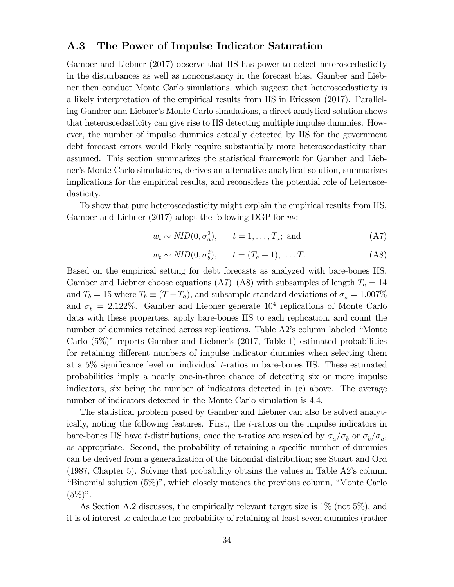#### A.3 The Power of Impulse Indicator Saturation

Gamber and Liebner (2017) observe that IIS has power to detect heteroscedasticity in the disturbances as well as nonconstancy in the forecast bias. Gamber and Liebner then conduct Monte Carlo simulations, which suggest that heteroscedasticity is a likely interpretation of the empirical results from IIS in Ericsson (2017). Paralleling Gamber and Liebner's Monte Carlo simulations, a direct analytical solution shows that heteroscedasticity can give rise to IIS detecting multiple impulse dummies. However, the number of impulse dummies actually detected by IIS for the government debt forecast errors would likely require substantially more heteroscedasticity than assumed. This section summarizes the statistical framework for Gamber and Liebner's Monte Carlo simulations, derives an alternative analytical solution, summarizes implications for the empirical results, and reconsiders the potential role of heteroscedasticity.

To show that pure heteroscedasticity might explain the empirical results from IIS, Gamber and Liebner (2017) adopt the following DGP for  $w_t$ :

$$
w_t \sim NID(0, \sigma_a^2), \qquad t = 1, \dots, T_a; \text{ and} \tag{A7}
$$

$$
w_t \sim NID(0, \sigma_b^2), \qquad t = (T_a + 1), \dots, T. \tag{A8}
$$

Based on the empirical setting for debt forecasts as analyzed with bare-bones IIS, Gamber and Liebner choose equations (A7)–(A8) with subsamples of length  $T_a = 14$ and  $T_b = 15$  where  $T_b \equiv (T - T_a)$ , and subsample standard deviations of  $\sigma_a = 1.007\%$ and  $\sigma_b = 2.122\%$ . Gamber and Liebner generate  $10^4$  replications of Monte Carlo data with these properties, apply bare-bones IIS to each replication, and count the number of dummies retained across replications. Table A2's column labeled "Monte Carlo (5%)" reports Gamber and Liebner's (2017, Table 1) estimated probabilities for retaining different numbers of impulse indicator dummies when selecting them at a  $5\%$  significance level on individual t-ratios in bare-bones IIS. These estimated probabilities imply a nearly one-in-three chance of detecting six or more impulse indicators, six being the number of indicators detected in (c) above. The average number of indicators detected in the Monte Carlo simulation is 4.4.

The statistical problem posed by Gamber and Liebner can also be solved analytically, noting the following features. First, the t-ratios on the impulse indicators in bare-bones IIS have t-distributions, once the t-ratios are rescaled by  $\sigma_a/\sigma_b$  or  $\sigma_b/\sigma_a$ , as appropriate. Second, the probability of retaining a specific number of dummies can be derived from a generalization of the binomial distribution; see Stuart and Ord (1987, Chapter 5). Solving that probability obtains the values in Table A2's column "Binomial solution (5%)", which closely matches the previous column, "Monte Carlo  $(5\%)$ ".

As Section A.2 discusses, the empirically relevant target size is 1% (not 5%), and it is of interest to calculate the probability of retaining at least seven dummies (rather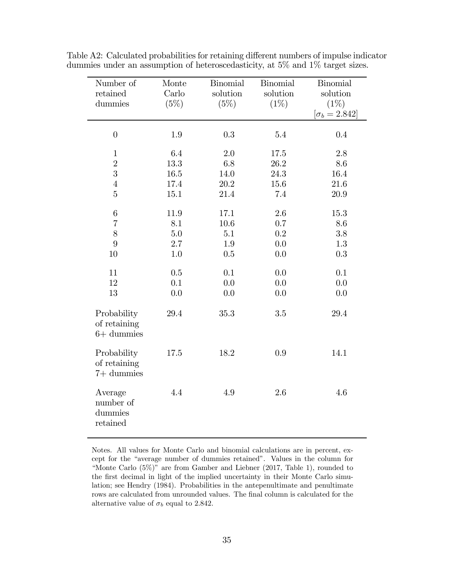| Number of<br>retained<br>dummies                                        | Monte<br>Carlo<br>(5%)                  | <b>Binomial</b><br>solution<br>(5%)    | <b>Binomial</b><br>solution<br>$(1\%)$ | <b>Binomial</b><br>solution<br>$(1\%)$<br>$[\sigma_b = 2.842]$ |
|-------------------------------------------------------------------------|-----------------------------------------|----------------------------------------|----------------------------------------|----------------------------------------------------------------|
| $\overline{0}$                                                          | $1.9\,$                                 | 0.3                                    | $5.4\,$                                | 0.4                                                            |
| $\mathbf{1}$<br>$\overline{2}$<br>3<br>$\overline{4}$<br>$\overline{5}$ | 6.4<br>13.3<br>$16.5\,$<br>17.4<br>15.1 | 2.0<br>6.8<br>14.0<br>$20.2\,$<br>21.4 | 17.5<br>26.2<br>24.3<br>15.6<br>7.4    | $2.8\,$<br>8.6<br>16.4<br>21.6<br>20.9                         |
| $\,6$<br>$\overline{7}$<br>8<br>9                                       | 11.9<br>8.1<br>$5.0\,$<br>2.7           | 17.1<br>$10.6\,$<br>5.1<br>1.9         | 2.6<br>0.7<br>$0.2\,$<br>0.0           | 15.3<br>8.6<br>3.8<br>1.3                                      |
| 10                                                                      | 1.0                                     | 0.5                                    | 0.0                                    | 0.3                                                            |
| 11<br>12<br>13                                                          | 0.5<br>0.1<br>0.0                       | 0.1<br>0.0<br>0.0                      | 0.0<br>0.0<br>0.0                      | 0.1<br>0.0<br>0.0                                              |
| Probability<br>of retaining<br>$6+$ dummies                             | 29.4                                    | 35.3                                   | $3.5\,$                                | 29.4                                                           |
| Probability<br>of retaining<br>$7+$ dummies                             | 17.5                                    | 18.2                                   | 0.9                                    | 14.1                                                           |
| Average<br>number of<br>dummies<br>retained                             | 4.4                                     | 4.9                                    | 2.6                                    | 4.6                                                            |

Table A2: Calculated probabilities for retaining different numbers of impulse indicator dummies under an assumption of heteroscedasticity, at 5% and 1% target sizes.

Notes. All values for Monte Carlo and binomial calculations are in percent, except for the "average number of dummies retained". Values in the column for "Monte Carlo (5%)" are from Gamber and Liebner (2017, Table 1), rounded to the first decimal in light of the implied uncertainty in their Monte Carlo simulation; see Hendry (1984). Probabilities in the antepenultimate and penultimate rows are calculated from unrounded values. The final column is calculated for the alternative value of  $\sigma_b$  equal to 2.842.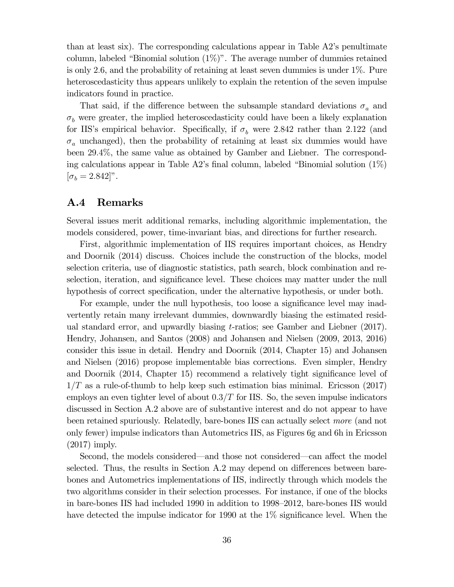than at least six). The corresponding calculations appear in Table A2's penultimate column, labeled "Binomial solution  $(1\%)$ ". The average number of dummies retained is only 2.6, and the probability of retaining at least seven dummies is under  $1\%$ . Pure heteroscedasticity thus appears unlikely to explain the retention of the seven impulse indicators found in practice.

That said, if the difference between the subsample standard deviations  $\sigma_a$  and  $\sigma_b$  were greater, the implied heteroscedasticity could have been a likely explanation for IIS's empirical behavior. Specifically, if  $\sigma_b$  were 2.842 rather than 2.122 (and  $\sigma_a$  unchanged), then the probability of retaining at least six dummies would have been 29.4%, the same value as obtained by Gamber and Liebner. The corresponding calculations appear in Table A2's final column, labeled "Binomial solution (1%)  $[\sigma_b = 2.842]$ ".

#### A.4 Remarks

Several issues merit additional remarks, including algorithmic implementation, the models considered, power, time-invariant bias, and directions for further research.

First, algorithmic implementation of IIS requires important choices, as Hendry and Doornik (2014) discuss. Choices include the construction of the blocks, model selection criteria, use of diagnostic statistics, path search, block combination and reselection, iteration, and significance level. These choices may matter under the null hypothesis of correct specification, under the alternative hypothesis, or under both.

For example, under the null hypothesis, too loose a significance level may inadvertently retain many irrelevant dummies, downwardly biasing the estimated residual standard error, and upwardly biasing  $t$ -ratios; see Gamber and Liebner (2017). Hendry, Johansen, and Santos (2008) and Johansen and Nielsen (2009, 2013, 2016) consider this issue in detail. Hendry and Doornik (2014, Chapter 15) and Johansen and Nielsen (2016) propose implementable bias corrections. Even simpler, Hendry and Doornik (2014, Chapter 15) recommend a relatively tight significance level of  $1/T$  as a rule-of-thumb to help keep such estimation bias minimal. Ericsson (2017) employs an even tighter level of about  $0.3/T$  for IIS. So, the seven impulse indicators discussed in Section A.2 above are of substantive interest and do not appear to have been retained spuriously. Relatedly, bare-bones IIS can actually select more (and not only fewer) impulse indicators than Autometrics IIS, as Figures 6g and 6h in Ericsson (2017) imply.

Second, the models considered–and those not considered–can affect the model selected. Thus, the results in Section A.2 may depend on differences between barebones and Autometrics implementations of IIS, indirectly through which models the two algorithms consider in their selection processes. For instance, if one of the blocks in bare-bones IIS had included 1990 in addition to 1998—2012, bare-bones IIS would have detected the impulse indicator for 1990 at the 1\% significance level. When the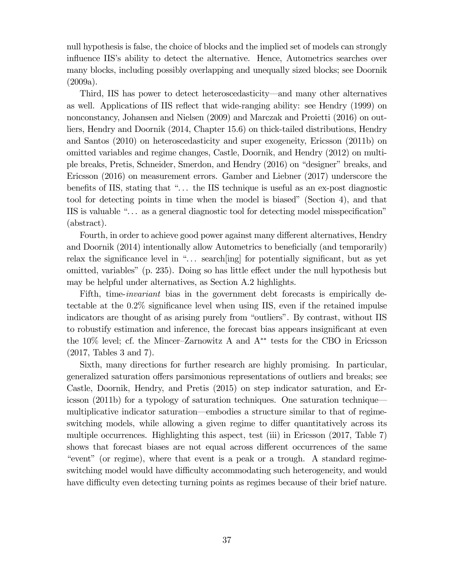null hypothesis is false, the choice of blocks and the implied set of models can strongly influence IIS's ability to detect the alternative. Hence, Autometrics searches over many blocks, including possibly overlapping and unequally sized blocks; see Doornik (2009a).

Third, IIS has power to detect heteroscedasticity–and many other alternatives as well. Applications of IIS reflect that wide-ranging ability: see Hendry (1999) on nonconstancy, Johansen and Nielsen (2009) and Marczak and Proietti (2016) on outliers, Hendry and Doornik (2014, Chapter 15.6) on thick-tailed distributions, Hendry and Santos (2010) on heteroscedasticity and super exogeneity, Ericsson (2011b) on omitted variables and regime changes, Castle, Doornik, and Hendry (2012) on multiple breaks, Pretis, Schneider, Smerdon, and Hendry (2016) on "designer" breaks, and Ericsson (2016) on measurement errors. Gamber and Liebner (2017) underscore the benefits of IIS, stating that "... the IIS technique is useful as an ex-post diagnostic tool for detecting points in time when the model is biased" (Section 4), and that IIS is valuable ". . . as a general diagnostic tool for detecting model misspecification" (abstract).

Fourth, in order to achieve good power against many different alternatives, Hendry and Doornik (2014) intentionally allow Autometrics to beneficially (and temporarily) relax the significance level in " $\dots$  search [ing] for potentially significant, but as yet omitted, variables" (p. 235). Doing so has little effect under the null hypothesis but may be helpful under alternatives, as Section A.2 highlights.

Fifth, time-invariant bias in the government debt forecasts is empirically detectable at the  $0.2\%$  significance level when using IIS, even if the retained impulse indicators are thought of as arising purely from "outliers". By contrast, without IIS to robustify estimation and inference, the forecast bias appears insignificant at even the 10% level; cf. the Mincer—Zarnowitz A and A∗∗ tests for the CBO in Ericsson (2017, Tables 3 and 7).

Sixth, many directions for further research are highly promising. In particular, generalized saturation offers parsimonious representations of outliers and breaks; see Castle, Doornik, Hendry, and Pretis (2015) on step indicator saturation, and Ericsson (2011b) for a typology of saturation techniques. One saturation technique– multiplicative indicator saturation–embodies a structure similar to that of regimeswitching models, while allowing a given regime to differ quantitatively across its multiple occurrences. Highlighting this aspect, test (iii) in Ericsson (2017, Table 7) shows that forecast biases are not equal across different occurrences of the same "event" (or regime), where that event is a peak or a trough. A standard regimeswitching model would have difficulty accommodating such heterogeneity, and would have difficulty even detecting turning points as regimes because of their brief nature.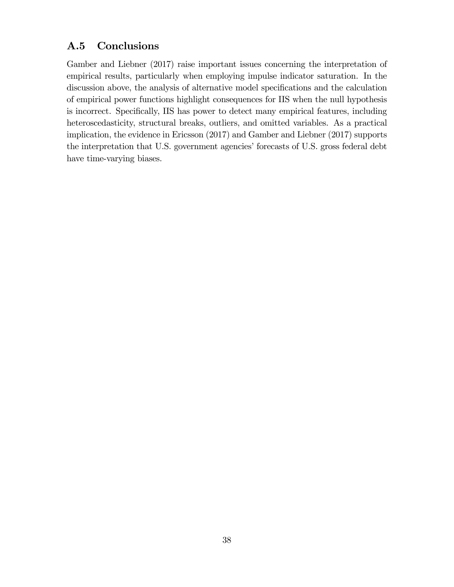### A.5 Conclusions

Gamber and Liebner (2017) raise important issues concerning the interpretation of empirical results, particularly when employing impulse indicator saturation. In the discussion above, the analysis of alternative model specifications and the calculation of empirical power functions highlight consequences for IIS when the null hypothesis is incorrect. Specifically, IIS has power to detect many empirical features, including heteroscedasticity, structural breaks, outliers, and omitted variables. As a practical implication, the evidence in Ericsson (2017) and Gamber and Liebner (2017) supports the interpretation that U.S. government agencies' forecasts of U.S. gross federal debt have time-varying biases.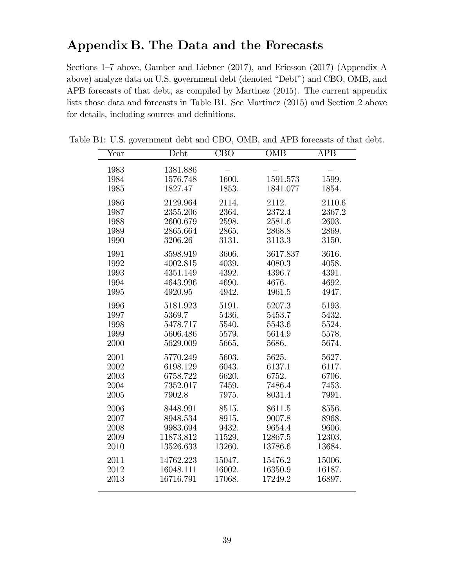## Appendix B. The Data and the Forecasts

Sections 1—7 above, Gamber and Liebner (2017), and Ericsson (2017) (Appendix A above) analyze data on U.S. government debt (denoted "Debt") and CBO, OMB, and APB forecasts of that debt, as compiled by Martinez (2015). The current appendix lists those data and forecasts in Table B1. See Martinez (2015) and Section 2 above for details, including sources and definitions.

| $\overline{\text{Year}}$ | Debt      | $\overline{\text{CBO}}$ | OMB      | APB    |
|--------------------------|-----------|-------------------------|----------|--------|
| 1983                     | 1381.886  |                         |          |        |
| 1984                     | 1576.748  | 1600.                   | 1591.573 | 1599.  |
| 1985                     | 1827.47   | 1853.                   | 1841.077 | 1854.  |
|                          |           |                         |          |        |
| 1986                     | 2129.964  | 2114.                   | 2112.    | 2110.6 |
| 1987                     | 2355.206  | 2364.                   | 2372.4   | 2367.2 |
| 1988                     | 2600.679  | 2598.                   | 2581.6   | 2603.  |
| 1989                     | 2865.664  | 2865.                   | 2868.8   | 2869.  |
| 1990                     | 3206.26   | 3131.                   | 3113.3   | 3150.  |
| 1991                     | 3598.919  | 3606.                   | 3617.837 | 3616.  |
| 1992                     | 4002.815  | 4039.                   | 4080.3   | 4058.  |
| 1993                     | 4351.149  | 4392.                   | 4396.7   | 4391.  |
| 1994                     | 4643.996  | 4690.                   | 4676.    | 4692.  |
| 1995                     | 4920.95   | 4942.                   | 4961.5   | 4947.  |
| 1996                     | 5181.923  | 5191.                   | 5207.3   | 5193.  |
| 1997                     | 5369.7    | 5436.                   | 5453.7   | 5432.  |
| 1998                     | 5478.717  | 5540.                   | 5543.6   | 5524.  |
| 1999                     | 5606.486  | 5579.                   | 5614.9   | 5578.  |
| 2000                     | 5629.009  | 5665.                   | 5686.    | 5674.  |
| 2001                     | 5770.249  | 5603.                   | 5625.    | 5627.  |
| 2002                     | 6198.129  | 6043.                   | 6137.1   | 6117.  |
| 2003                     | 6758.722  | 6620.                   | 6752.    | 6706.  |
| 2004                     | 7352.017  | 7459.                   | 7486.4   | 7453.  |
| 2005                     | 7902.8    | 7975.                   | 8031.4   | 7991.  |
| 2006                     | 8448.991  | 8515.                   | 8611.5   | 8556.  |
| 2007                     | 8948.534  | 8915.                   | 9007.8   | 8968.  |
| 2008                     | 9983.694  | 9432.                   | 9654.4   | 9606.  |
| 2009                     | 11873.812 | 11529.                  | 12867.5  | 12303. |
| 2010                     | 13526.633 | 13260.                  | 13786.6  | 13684. |
| 2011                     | 14762.223 | 15047.                  | 15476.2  | 15006. |
| 2012                     | 16048.111 | 16002.                  | 16350.9  | 16187. |
| 2013                     | 16716.791 | 17068.                  | 17249.2  | 16897. |
|                          |           |                         |          |        |

Table B1: U.S. government debt and CBO, OMB, and APB forecasts of that debt.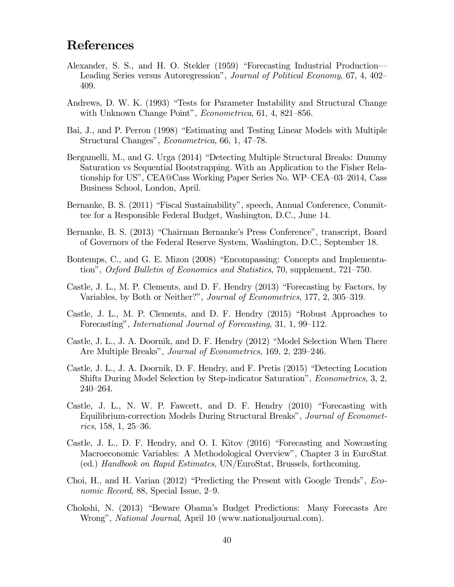## References

- Alexander, S. S., and H. O. Stekler (1959) "Forecasting Industrial Production– Leading Series versus Autoregression", Journal of Political Economy, 67, 4, 402— 409.
- Andrews, D. W. K. (1993) "Tests for Parameter Instability and Structural Change with Unknown Change Point", *Econometrica*, 61, 4, 821–856.
- Bai, J., and P. Perron (1998) "Estimating and Testing Linear Models with Multiple Structural Changes", Econometrica, 66, 1, 47—78.
- Bergamelli, M., and G. Urga (2014) "Detecting Multiple Structural Breaks: Dummy Saturation vs Sequential Bootstrapping. With an Application to the Fisher Relationship for US", CEA@Cass Working Paper Series No. WP—CEA—03—2014, Cass Business School, London, April.
- Bernanke, B. S. (2011) "Fiscal Sustainability", speech, Annual Conference, Committee for a Responsible Federal Budget, Washington, D.C., June 14.
- Bernanke, B. S. (2013) "Chairman Bernanke's Press Conference", transcript, Board of Governors of the Federal Reserve System, Washington, D.C., September 18.
- Bontemps, C., and G. E. Mizon (2008) "Encompassing: Concepts and Implementation", Oxford Bulletin of Economics and Statistics, 70, supplement, 721—750.
- Castle, J. L., M. P. Clements, and D. F. Hendry (2013) "Forecasting by Factors, by Variables, by Both or Neither?", Journal of Econometrics, 177, 2, 305—319.
- Castle, J. L., M. P. Clements, and D. F. Hendry (2015) "Robust Approaches to Forecasting", International Journal of Forecasting, 31, 1, 99—112.
- Castle, J. L., J. A. Doornik, and D. F. Hendry (2012) "Model Selection When There Are Multiple Breaks", Journal of Econometrics, 169, 2, 239—246.
- Castle, J. L., J. A. Doornik, D. F. Hendry, and F. Pretis (2015) "Detecting Location Shifts During Model Selection by Step-indicator Saturation", Econometrics, 3, 2, 240—264.
- Castle, J. L., N. W. P. Fawcett, and D. F. Hendry (2010) "Forecasting with Equilibrium-correction Models During Structural Breaks", Journal of Econometrics, 158, 1, 25—36.
- Castle, J. L., D. F. Hendry, and O. I. Kitov (2016) "Forecasting and Nowcasting Macroeconomic Variables: A Methodological Overview", Chapter 3 in EuroStat (ed.) Handbook on Rapid Estimates, UN/EuroStat, Brussels, forthcoming.
- Choi, H., and H. Varian (2012) "Predicting the Present with Google Trends", Economic Record, 88, Special Issue, 2—9.
- Chokshi, N. (2013) "Beware Obama's Budget Predictions: Many Forecasts Are Wrong", *National Journal*, April 10 (www.nationaljournal.com).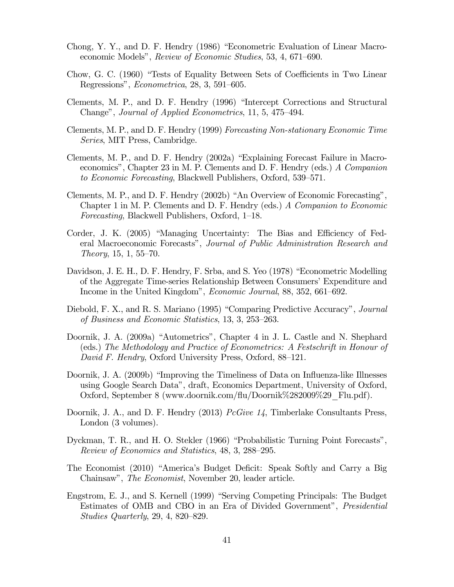- Chong, Y. Y., and D. F. Hendry (1986) "Econometric Evaluation of Linear Macroeconomic Models", Review of Economic Studies, 53, 4, 671—690.
- Chow, G. C. (1960) "Tests of Equality Between Sets of Coefficients in Two Linear Regressions", Econometrica, 28, 3, 591—605.
- Clements, M. P., and D. F. Hendry (1996) "Intercept Corrections and Structural Change", Journal of Applied Econometrics, 11, 5, 475—494.
- Clements, M. P., and D. F. Hendry (1999) Forecasting Non-stationary Economic Time Series, MIT Press, Cambridge.
- Clements, M. P., and D. F. Hendry (2002a) "Explaining Forecast Failure in Macroeconomics", Chapter 23 in M. P. Clements and D. F. Hendry (eds.) A Companion to Economic Forecasting, Blackwell Publishers, Oxford, 539—571.
- Clements, M. P., and D. F. Hendry (2002b) "An Overview of Economic Forecasting", Chapter 1 in M. P. Clements and D. F. Hendry (eds.) A Companion to Economic Forecasting, Blackwell Publishers, Oxford, 1—18.
- Corder, J. K. (2005) "Managing Uncertainty: The Bias and Efficiency of Federal Macroeconomic Forecasts", Journal of Public Administration Research and Theory, 15, 1, 55—70.
- Davidson, J. E. H., D. F. Hendry, F. Srba, and S. Yeo (1978) "Econometric Modelling of the Aggregate Time-series Relationship Between Consumers' Expenditure and Income in the United Kingdom", Economic Journal, 88, 352, 661—692.
- Diebold, F. X., and R. S. Mariano (1995) "Comparing Predictive Accuracy", *Journal* of Business and Economic Statistics, 13, 3, 253—263.
- Doornik, J. A. (2009a) "Autometrics", Chapter 4 in J. L. Castle and N. Shephard (eds.) The Methodology and Practice of Econometrics: A Festschrift in Honour of David F. Hendry, Oxford University Press, Oxford, 88—121.
- Doornik, J. A. (2009b) "Improving the Timeliness of Data on Influenza-like Illnesses using Google Search Data", draft, Economics Department, University of Oxford, Oxford, September 8 (www.doornik.com/flu/Doornik%282009%29\_Flu.pdf).
- Doornik, J. A., and D. F. Hendry (2013) *PcGive 14*, Timberlake Consultants Press, London (3 volumes).
- Dyckman, T. R., and H. O. Stekler (1966) "Probabilistic Turning Point Forecasts", Review of Economics and Statistics, 48, 3, 288—295.
- The Economist (2010) "America's Budget Deficit: Speak Softly and Carry a Big Chainsaw", The Economist, November 20, leader article.
- Engstrom, E. J., and S. Kernell (1999) "Serving Competing Principals: The Budget Estimates of OMB and CBO in an Era of Divided Government", Presidential Studies Quarterly, 29, 4, 820—829.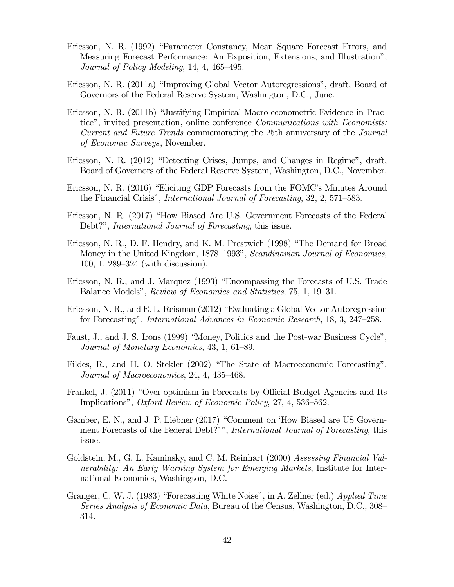- Ericsson, N. R. (1992) "Parameter Constancy, Mean Square Forecast Errors, and Measuring Forecast Performance: An Exposition, Extensions, and Illustration", Journal of Policy Modeling, 14, 4, 465—495.
- Ericsson, N. R. (2011a) "Improving Global Vector Autoregressions", draft, Board of Governors of the Federal Reserve System, Washington, D.C., June.
- Ericsson, N. R. (2011b) "Justifying Empirical Macro-econometric Evidence in Practice", invited presentation, online conference Communications with Economists: Current and Future Trends commemorating the 25th anniversary of the Journal of Economic Surveys, November.
- Ericsson, N. R. (2012) "Detecting Crises, Jumps, and Changes in Regime", draft, Board of Governors of the Federal Reserve System, Washington, D.C., November.
- Ericsson, N. R. (2016) "Eliciting GDP Forecasts from the FOMC's Minutes Around the Financial Crisis", International Journal of Forecasting, 32, 2, 571—583.
- Ericsson, N. R. (2017) "How Biased Are U.S. Government Forecasts of the Federal Debt?", *International Journal of Forecasting*, this issue.
- Ericsson, N. R., D. F. Hendry, and K. M. Prestwich (1998) "The Demand for Broad Money in the United Kingdom, 1878–1993", Scandinavian Journal of Economics, 100, 1, 289—324 (with discussion).
- Ericsson, N. R., and J. Marquez (1993) "Encompassing the Forecasts of U.S. Trade Balance Models", Review of Economics and Statistics, 75, 1, 19—31.
- Ericsson, N. R., and E. L. Reisman (2012) "Evaluating a Global Vector Autoregression for Forecasting", International Advances in Economic Research, 18, 3, 247—258.
- Faust, J., and J. S. Irons (1999) "Money, Politics and the Post-war Business Cycle", Journal of Monetary Economics, 43, 1, 61—89.
- Fildes, R., and H. O. Stekler (2002) "The State of Macroeconomic Forecasting", Journal of Macroeconomics, 24, 4, 435—468.
- Frankel, J. (2011) "Over-optimism in Forecasts by Official Budget Agencies and Its Implications", Oxford Review of Economic Policy, 27, 4, 536—562.
- Gamber, E. N., and J. P. Liebner (2017) "Comment on 'How Biased are US Government Forecasts of the Federal Debt?'", International Journal of Forecasting, this issue.
- Goldstein, M., G. L. Kaminsky, and C. M. Reinhart (2000) Assessing Financial Vulnerability: An Early Warning System for Emerging Markets, Institute for International Economics, Washington, D.C.
- Granger, C. W. J. (1983) "Forecasting White Noise", in A. Zellner (ed.) Applied Time Series Analysis of Economic Data, Bureau of the Census, Washington, D.C., 308— 314.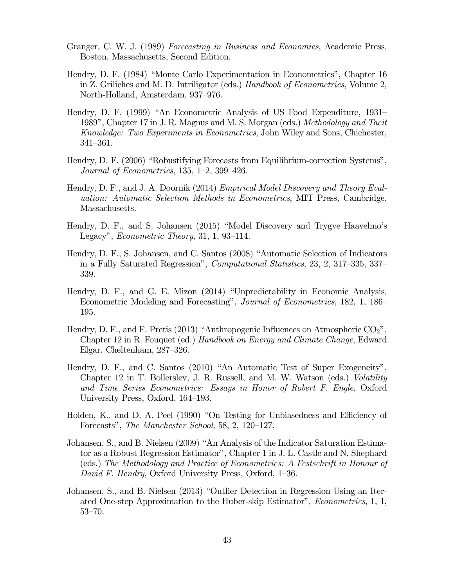- Granger, C. W. J. (1989) Forecasting in Business and Economics, Academic Press, Boston, Massachusetts, Second Edition.
- Hendry, D. F. (1984) "Monte Carlo Experimentation in Econometrics", Chapter 16 in Z. Griliches and M. D. Intriligator (eds.) Handbook of Econometrics, Volume 2, North-Holland, Amsterdam, 937—976.
- Hendry, D. F. (1999) "An Econometric Analysis of US Food Expenditure, 1931— 1989", Chapter 17 in J. R. Magnus and M. S. Morgan (eds.) Methodology and Tacit Knowledge: Two Experiments in Econometrics, John Wiley and Sons, Chichester, 341—361.
- Hendry, D. F. (2006) "Robustifying Forecasts from Equilibrium-correction Systems", Journal of Econometrics, 135, 1—2, 399—426.
- Hendry, D. F., and J. A. Doornik (2014) *Empirical Model Discovery and Theory Eval*uation: Automatic Selection Methods in Econometrics, MIT Press, Cambridge, Massachusetts.
- Hendry, D. F., and S. Johansen (2015) "Model Discovery and Trygve Haavelmo's Legacy", Econometric Theory, 31, 1, 93—114.
- Hendry, D. F., S. Johansen, and C. Santos (2008) "Automatic Selection of Indicators in a Fully Saturated Regression", Computational Statistics, 23, 2, 317—335, 337— 339.
- Hendry, D. F., and G. E. Mizon (2014) "Unpredictability in Economic Analysis, Econometric Modeling and Forecasting", Journal of Econometrics, 182, 1, 186— 195.
- Hendry, D. F., and F. Pretis (2013) "Anthropogenic Influences on Atmospheric  $CO<sub>2</sub>$ ". Chapter 12 in R. Fouquet (ed.) Handbook on Energy and Climate Change, Edward Elgar, Cheltenham, 287—326.
- Hendry, D. F., and C. Santos (2010) "An Automatic Test of Super Exogeneity", Chapter 12 in T. Bollerslev, J. R. Russell, and M. W. Watson (eds.) Volatility and Time Series Econometrics: Essays in Honor of Robert F. Engle, Oxford University Press, Oxford, 164—193.
- Holden, K., and D. A. Peel (1990) "On Testing for Unbiasedness and Efficiency of Forecasts", The Manchester School, 58, 2, 120—127.
- Johansen, S., and B. Nielsen (2009) "An Analysis of the Indicator Saturation Estimator as a Robust Regression Estimator", Chapter 1 in J. L. Castle and N. Shephard (eds.) The Methodology and Practice of Econometrics: A Festschrift in Honour of David F. Hendry, Oxford University Press, Oxford, 1—36.
- Johansen, S., and B. Nielsen (2013) "Outlier Detection in Regression Using an Iterated One-step Approximation to the Huber-skip Estimator", Econometrics, 1, 1, 53—70.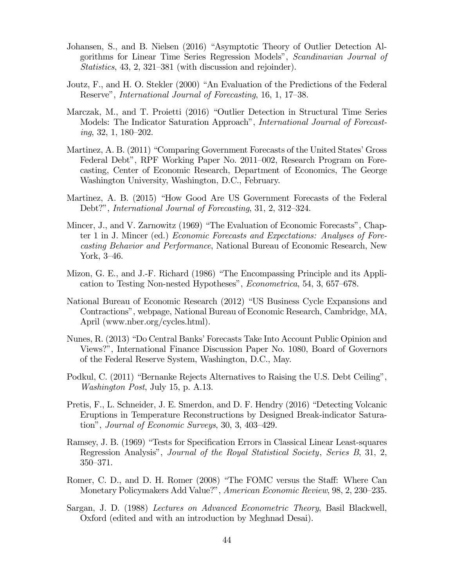- Johansen, S., and B. Nielsen (2016) "Asymptotic Theory of Outlier Detection Algorithms for Linear Time Series Regression Models", Scandinavian Journal of Statistics, 43, 2, 321—381 (with discussion and rejoinder).
- Joutz, F., and H. O. Stekler (2000) "An Evaluation of the Predictions of the Federal Reserve", International Journal of Forecasting, 16, 1, 17—38.
- Marczak, M., and T. Proietti (2016) "Outlier Detection in Structural Time Series Models: The Indicator Saturation Approach", International Journal of Forecasting, 32, 1, 180—202.
- Martinez, A. B. (2011) "Comparing Government Forecasts of the United States' Gross Federal Debt", RPF Working Paper No. 2011—002, Research Program on Forecasting, Center of Economic Research, Department of Economics, The George Washington University, Washington, D.C., February.
- Martinez, A. B. (2015) "How Good Are US Government Forecasts of the Federal Debt?", International Journal of Forecasting, 31, 2, 312—324.
- Mincer, J., and V. Zarnowitz (1969) "The Evaluation of Economic Forecasts", Chapter 1 in J. Mincer (ed.) Economic Forecasts and Expectations: Analyses of Forecasting Behavior and Performance, National Bureau of Economic Research, New York, 3—46.
- Mizon, G. E., and J.-F. Richard (1986) "The Encompassing Principle and its Application to Testing Non-nested Hypotheses", Econometrica, 54, 3, 657—678.
- National Bureau of Economic Research (2012) "US Business Cycle Expansions and Contractions", webpage, National Bureau of Economic Research, Cambridge, MA, April (www.nber.org/cycles.html).
- Nunes, R. (2013) "Do Central Banks' Forecasts Take Into Account Public Opinion and Views?", International Finance Discussion Paper No. 1080, Board of Governors of the Federal Reserve System, Washington, D.C., May.
- Podkul, C. (2011) "Bernanke Rejects Alternatives to Raising the U.S. Debt Ceiling", Washington Post, July 15, p. A.13.
- Pretis, F., L. Schneider, J. E. Smerdon, and D. F. Hendry (2016) "Detecting Volcanic Eruptions in Temperature Reconstructions by Designed Break-indicator Saturation", Journal of Economic Surveys, 30, 3, 403—429.
- Ramsey, J. B. (1969) "Tests for Specification Errors in Classical Linear Least-squares Regression Analysis", Journal of the Royal Statistical Society, Series B, 31, 2, 350—371.
- Romer, C. D., and D. H. Romer (2008) "The FOMC versus the Staff: Where Can Monetary Policymakers Add Value?", American Economic Review, 98, 2, 230—235.
- Sargan, J. D. (1988) Lectures on Advanced Econometric Theory, Basil Blackwell, Oxford (edited and with an introduction by Meghnad Desai).